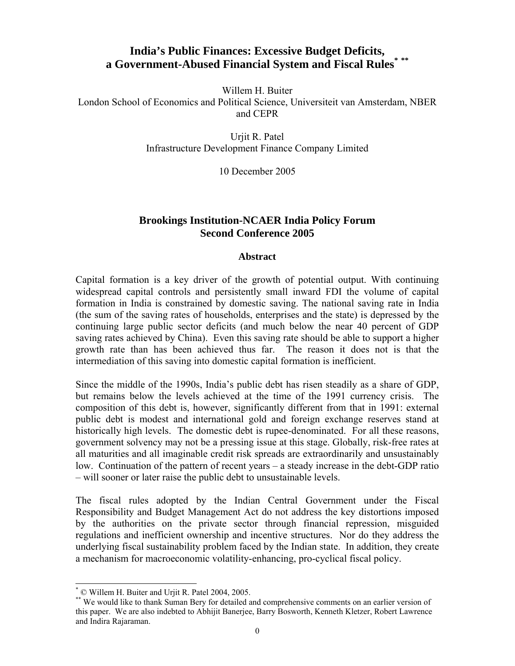# **India's Public Finances: Excessive Budget Deficits, [a Government-Abused Financial System and Fiscal Rules](#page-0-1)[\\*](#page-0-0) [\\*\\*](#page-0-1)**

Willem H. Buiter

London School of Economics and Political Science, Universiteit van Amsterdam, NBER and CEPR

> Urjit R. Patel Infrastructure Development Finance Company Limited

> > 10 December 2005

# **Brookings Institution-NCAER India Policy Forum Second Conference 2005**

# **Abstract**

Capital formation is a key driver of the growth of potential output. With continuing widespread capital controls and persistently small inward FDI the volume of capital formation in India is constrained by domestic saving. The national saving rate in India (the sum of the saving rates of households, enterprises and the state) is depressed by the continuing large public sector deficits (and much below the near 40 percent of GDP saving rates achieved by China). Even this saving rate should be able to support a higher growth rate than has been achieved thus far. The reason it does not is that the intermediation of this saving into domestic capital formation is inefficient.

Since the middle of the 1990s, India's public debt has risen steadily as a share of GDP, but remains below the levels achieved at the time of the 1991 currency crisis. The composition of this debt is, however, significantly different from that in 1991: external public debt is modest and international gold and foreign exchange reserves stand at historically high levels. The domestic debt is rupee-denominated. For all these reasons, government solvency may not be a pressing issue at this stage. Globally, risk-free rates at all maturities and all imaginable credit risk spreads are extraordinarily and unsustainably low. Continuation of the pattern of recent years – a steady increase in the debt-GDP ratio – will sooner or later raise the public debt to unsustainable levels.

The fiscal rules adopted by the Indian Central Government under the Fiscal Responsibility and Budget Management Act do not address the key distortions imposed by the authorities on the private sector through financial repression, misguided regulations and inefficient ownership and incentive structures. Nor do they address the underlying fiscal sustainability problem faced by the Indian state. In addition, they create a mechanism for macroeconomic volatility-enhancing, pro-cyclical fiscal policy.

 $\overline{a}$ 

<span id="page-0-0"></span><sup>\*</sup> © Willem H. Buiter and Urjit R. Patel 2004, 2005.

<span id="page-0-1"></span><sup>\*\*</sup> We would like to thank Suman Bery for detailed and comprehensive comments on an earlier version of this paper. We are also indebted to Abhijit Banerjee, Barry Bosworth, Kenneth Kletzer, Robert Lawrence and Indira Rajaraman.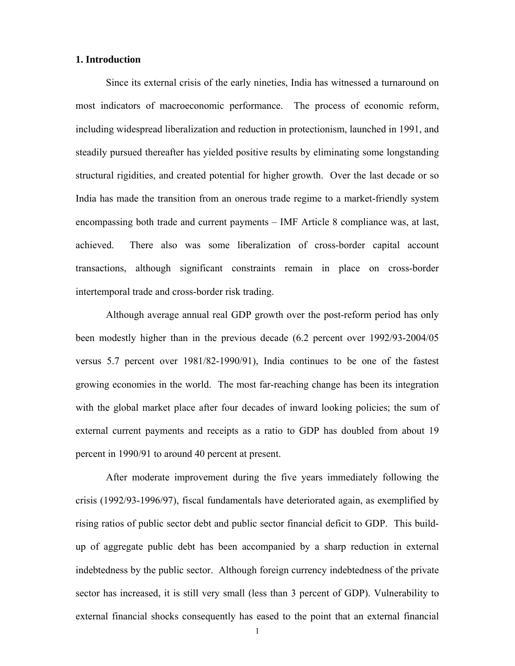#### **1. Introduction**

Since its external crisis of the early nineties, India has witnessed a turnaround on most indicators of macroeconomic performance. The process of economic reform, including widespread liberalization and reduction in protectionism, launched in 1991, and steadily pursued thereafter has yielded positive results by eliminating some longstanding structural rigidities, and created potential for higher growth. Over the last decade or so India has made the transition from an onerous trade regime to a market-friendly system encompassing both trade and current payments – IMF Article 8 compliance was, at last, achieved. There also was some liberalization of cross-border capital account transactions, although significant constraints remain in place on cross-border intertemporal trade and cross-border risk trading.

Although average annual real GDP growth over the post-reform period has only been modestly higher than in the previous decade (6.2 percent over 1992/93-2004/05 versus 5.7 percent over 1981/82-1990/91), India continues to be one of the fastest growing economies in the world. The most far-reaching change has been its integration with the global market place after four decades of inward looking policies; the sum of external current payments and receipts as a ratio to GDP has doubled from about 19 percent in 1990/91 to around 40 percent at present.

After moderate improvement during the five years immediately following the crisis (1992/93-1996/97), fiscal fundamentals have deteriorated again, as exemplified by rising ratios of public sector debt and public sector financial deficit to GDP. This buildup of aggregate public debt has been accompanied by a sharp reduction in external indebtedness by the public sector. Although foreign currency indebtedness of the private sector has increased, it is still very small (less than 3 percent of GDP). Vulnerability to external financial shocks consequently has eased to the point that an external financial

1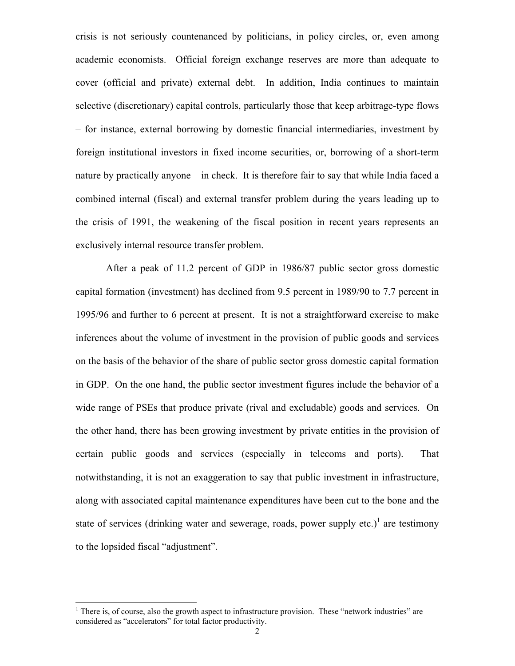crisis is not seriously countenanced by politicians, in policy circles, or, even among academic economists. Official foreign exchange reserves are more than adequate to cover (official and private) external debt. In addition, India continues to maintain selective (discretionary) capital controls, particularly those that keep arbitrage-type flows – for instance, external borrowing by domestic financial intermediaries, investment by foreign institutional investors in fixed income securities, or, borrowing of a short-term nature by practically anyone – in check. It is therefore fair to say that while India faced a combined internal (fiscal) and external transfer problem during the years leading up to the crisis of 1991, the weakening of the fiscal position in recent years represents an exclusively internal resource transfer problem.

After a peak of 11.2 percent of GDP in 1986/87 public sector gross domestic capital formation (investment) has declined from 9.5 percent in 1989/90 to 7.7 percent in 1995/96 and further to 6 percent at present. It is not a straightforward exercise to make inferences about the volume of investment in the provision of public goods and services on the basis of the behavior of the share of public sector gross domestic capital formation in GDP. On the one hand, the public sector investment figures include the behavior of a wide range of PSEs that produce private (rival and excludable) goods and services. On the other hand, there has been growing investment by private entities in the provision of certain public goods and services (especially in telecoms and ports). That notwithstanding, it is not an exaggeration to say that public investment in infrastructure, along with associated capital maintenance expenditures have been cut to the bone and the state of services (drinking water and sewerage, roads, power supply etc.)<sup>1</sup> are testimony to the lopsided fiscal "adjustment".

<span id="page-2-0"></span><sup>&</sup>lt;sup>1</sup> There is, of course, also the growth aspect to infrastructure provision. These "network industries" are considered as "accelerators" for total factor productivity.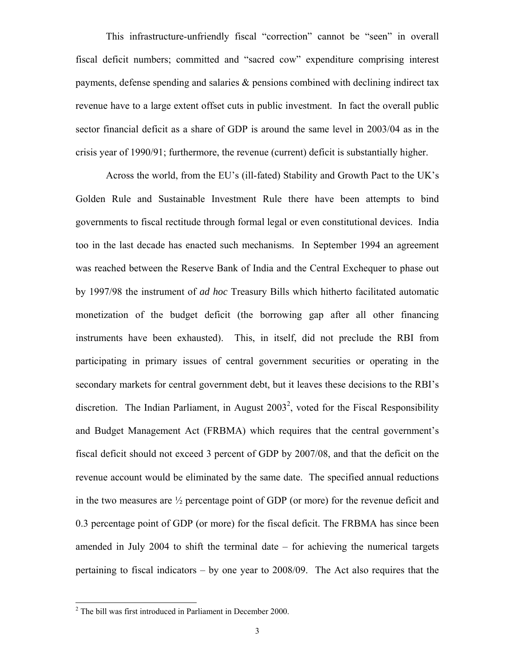This infrastructure-unfriendly fiscal "correction" cannot be "seen" in overall fiscal deficit numbers; committed and "sacred cow" expenditure comprising interest payments, defense spending and salaries & pensions combined with declining indirect tax revenue have to a large extent offset cuts in public investment. In fact the overall public sector financial deficit as a share of GDP is around the same level in 2003/04 as in the crisis year of 1990/91; furthermore, the revenue (current) deficit is substantially higher.

Across the world, from the EU's (ill-fated) Stability and Growth Pact to the UK's Golden Rule and Sustainable Investment Rule there have been attempts to bind governments to fiscal rectitude through formal legal or even constitutional devices. India too in the last decade has enacted such mechanisms. In September 1994 an agreement was reached between the Reserve Bank of India and the Central Exchequer to phase out by 1997/98 the instrument of *ad hoc* Treasury Bills which hitherto facilitated automatic monetization of the budget deficit (the borrowing gap after all other financing instruments have been exhausted). This, in itself, did not preclude the RBI from participating in primary issues of central government securities or operating in the secondary markets for central government debt, but it leaves these decisions to the RBI's discretion. The Indian Parliament, in August  $2003^2$  $2003^2$ , voted for the Fiscal Responsibility and Budget Management Act (FRBMA) which requires that the central government's fiscal deficit should not exceed 3 percent of GDP by 2007/08, and that the deficit on the revenue account would be eliminated by the same date. The specified annual reductions in the two measures are ½ percentage point of GDP (or more) for the revenue deficit and 0.3 percentage point of GDP (or more) for the fiscal deficit. The FRBMA has since been amended in July 2004 to shift the terminal date – for achieving the numerical targets pertaining to fiscal indicators – by one year to 2008/09. The Act also requires that the

<span id="page-3-0"></span><sup>&</sup>lt;sup>2</sup> The bill was first introduced in Parliament in December 2000.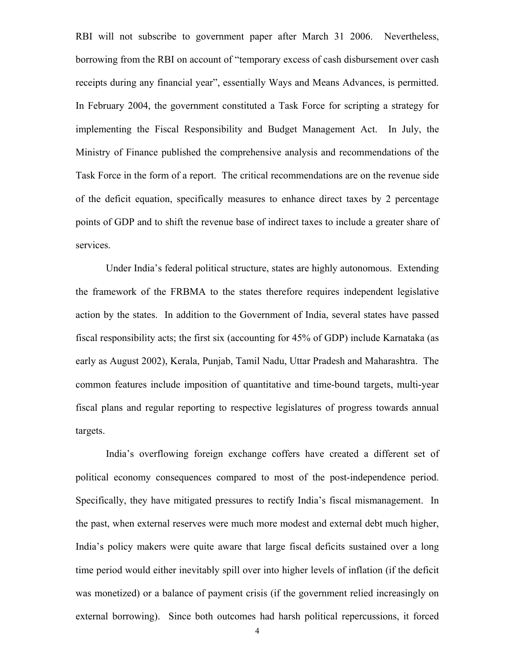RBI will not subscribe to government paper after March 31 2006. Nevertheless, borrowing from the RBI on account of "temporary excess of cash disbursement over cash receipts during any financial year", essentially Ways and Means Advances, is permitted. In February 2004, the government constituted a Task Force for scripting a strategy for implementing the Fiscal Responsibility and Budget Management Act. In July, the Ministry of Finance published the comprehensive analysis and recommendations of the Task Force in the form of a report. The critical recommendations are on the revenue side of the deficit equation, specifically measures to enhance direct taxes by 2 percentage points of GDP and to shift the revenue base of indirect taxes to include a greater share of services.

Under India's federal political structure, states are highly autonomous. Extending the framework of the FRBMA to the states therefore requires independent legislative action by the states. In addition to the Government of India, several states have passed fiscal responsibility acts; the first six (accounting for 45% of GDP) include Karnataka (as early as August 2002), Kerala, Punjab, Tamil Nadu, Uttar Pradesh and Maharashtra. The common features include imposition of quantitative and time-bound targets, multi-year fiscal plans and regular reporting to respective legislatures of progress towards annual targets.

India's overflowing foreign exchange coffers have created a different set of political economy consequences compared to most of the post-independence period. Specifically, they have mitigated pressures to rectify India's fiscal mismanagement. In the past, when external reserves were much more modest and external debt much higher, India's policy makers were quite aware that large fiscal deficits sustained over a long time period would either inevitably spill over into higher levels of inflation (if the deficit was monetized) or a balance of payment crisis (if the government relied increasingly on external borrowing). Since both outcomes had harsh political repercussions, it forced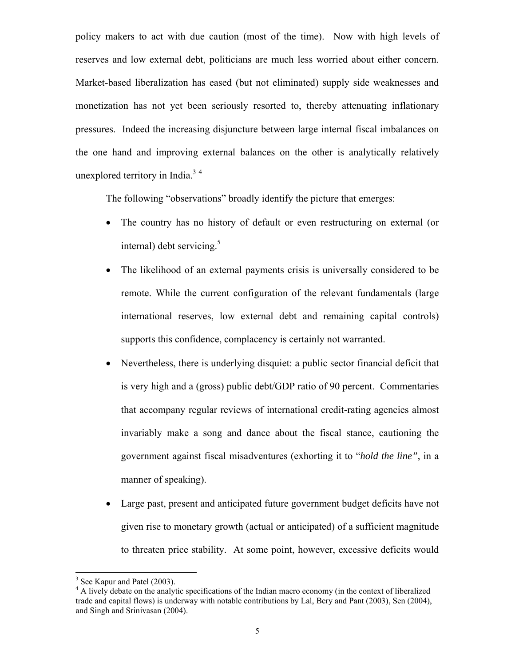policy makers to act with due caution (most of the time). Now with high levels of reserves and low external debt, politicians are much less worried about either concern. Market-based liberalization has eased (but not eliminated) supply side weaknesses and monetization has not yet been seriously resorted to, thereby attenuating inflationary pressures. Indeed the increasing disjuncture between large internal fiscal imbalances on the one hand and improving external balances on the other is analytically relatively unexplored territory in India. $3<sup>4</sup>$  $3<sup>4</sup>$  $3<sup>4</sup>$ 

The following "observations" broadly identify the picture that emerges:

- The country has no history of default or even restructuring on external (or internal) debt servicing.<sup>5</sup>
- The likelihood of an external payments crisis is universally considered to be remote. While the current configuration of the relevant fundamentals (large international reserves, low external debt and remaining capital controls) supports this confidence, complacency is certainly not warranted.
- Nevertheless, there is underlying disquiet: a public sector financial deficit that is very high and a (gross) public debt/GDP ratio of 90 percent. Commentaries that accompany regular reviews of international credit-rating agencies almost invariably make a song and dance about the fiscal stance, cautioning the government against fiscal misadventures (exhorting it to "*hold the line"*, in a manner of speaking).
- Large past, present and anticipated future government budget deficits have not given rise to monetary growth (actual or anticipated) of a sufficient magnitude to threaten price stability. At some point, however, excessive deficits would

<span id="page-5-0"></span> $3$  See Kapur and Patel (2003).

<span id="page-5-2"></span><span id="page-5-1"></span><sup>&</sup>lt;sup>4</sup> A lively debate on the analytic specifications of the Indian macro economy (in the context of liberalized trade and capital flows) is underway with notable contributions by Lal, Bery and Pant (2003), Sen (2004), and Singh and Srinivasan (2004).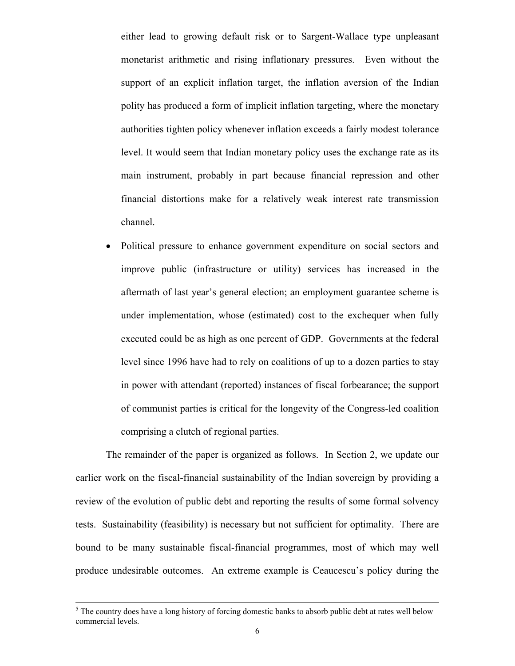either lead to growing default risk or to Sargent-Wallace type unpleasant monetarist arithmetic and rising inflationary pressures. Even without the support of an explicit inflation target, the inflation aversion of the Indian polity has produced a form of implicit inflation targeting, where the monetary authorities tighten policy whenever inflation exceeds a fairly modest tolerance level. It would seem that Indian monetary policy uses the exchange rate as its main instrument, probably in part because financial repression and other financial distortions make for a relatively weak interest rate transmission channel.

• Political pressure to enhance government expenditure on social sectors and improve public (infrastructure or utility) services has increased in the aftermath of last year's general election; an employment guarantee scheme is under implementation, whose (estimated) cost to the exchequer when fully executed could be as high as one percent of GDP. Governments at the federal level since 1996 have had to rely on coalitions of up to a dozen parties to stay in power with attendant (reported) instances of fiscal forbearance; the support of communist parties is critical for the longevity of the Congress-led coalition comprising a clutch of regional parties.

The remainder of the paper is organized as follows. In Section 2, we update our earlier work on the fiscal-financial sustainability of the Indian sovereign by providing a review of the evolution of public debt and reporting the results of some formal solvency tests. Sustainability (feasibility) is necessary but not sufficient for optimality. There are bound to be many sustainable fiscal-financial programmes, most of which may well produce undesirable outcomes. An extreme example is Ceaucescu's policy during the

 $5<sup>5</sup>$  The country does have a long history of forcing domestic banks to absorb public debt at rates well below commercial levels.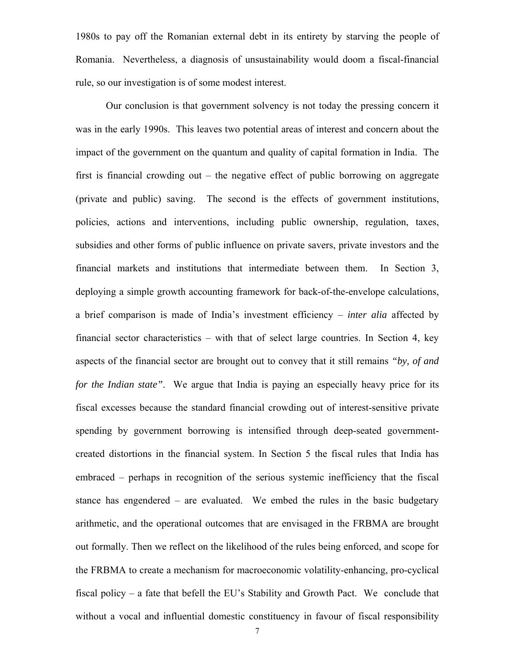1980s to pay off the Romanian external debt in its entirety by starving the people of Romania. Nevertheless, a diagnosis of unsustainability would doom a fiscal-financial rule, so our investigation is of some modest interest.

Our conclusion is that government solvency is not today the pressing concern it was in the early 1990s. This leaves two potential areas of interest and concern about the impact of the government on the quantum and quality of capital formation in India. The first is financial crowding out – the negative effect of public borrowing on aggregate (private and public) saving. The second is the effects of government institutions, policies, actions and interventions, including public ownership, regulation, taxes, subsidies and other forms of public influence on private savers, private investors and the financial markets and institutions that intermediate between them. In Section 3, deploying a simple growth accounting framework for back-of-the-envelope calculations, a brief comparison is made of India's investment efficiency – *inter alia* affected by financial sector characteristics – with that of select large countries. In Section 4, key aspects of the financial sector are brought out to convey that it still remains *"by, of and for the Indian state"*. We argue that India is paying an especially heavy price for its fiscal excesses because the standard financial crowding out of interest-sensitive private spending by government borrowing is intensified through deep-seated governmentcreated distortions in the financial system. In Section 5 the fiscal rules that India has embraced – perhaps in recognition of the serious systemic inefficiency that the fiscal stance has engendered – are evaluated. We embed the rules in the basic budgetary arithmetic, and the operational outcomes that are envisaged in the FRBMA are brought out formally. Then we reflect on the likelihood of the rules being enforced, and scope for the FRBMA to create a mechanism for macroeconomic volatility-enhancing, pro-cyclical fiscal policy – a fate that befell the EU's Stability and Growth Pact. We conclude that without a vocal and influential domestic constituency in favour of fiscal responsibility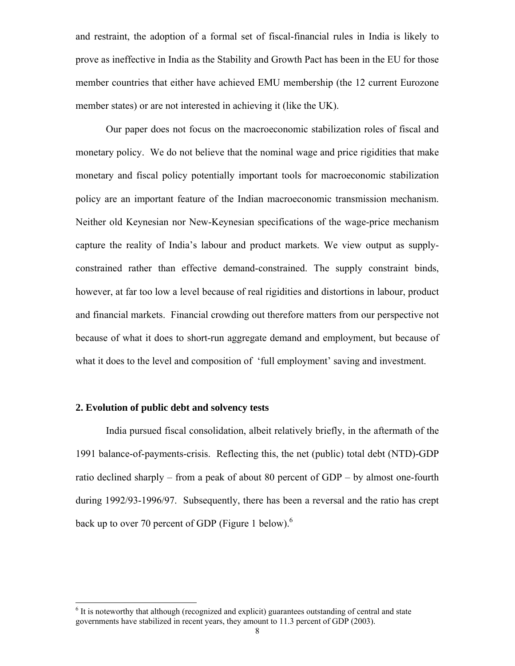and restraint, the adoption of a formal set of fiscal-financial rules in India is likely to prove as ineffective in India as the Stability and Growth Pact has been in the EU for those member countries that either have achieved EMU membership (the 12 current Eurozone member states) or are not interested in achieving it (like the UK).

Our paper does not focus on the macroeconomic stabilization roles of fiscal and monetary policy. We do not believe that the nominal wage and price rigidities that make monetary and fiscal policy potentially important tools for macroeconomic stabilization policy are an important feature of the Indian macroeconomic transmission mechanism. Neither old Keynesian nor New-Keynesian specifications of the wage-price mechanism capture the reality of India's labour and product markets. We view output as supplyconstrained rather than effective demand-constrained. The supply constraint binds, however, at far too low a level because of real rigidities and distortions in labour, product and financial markets. Financial crowding out therefore matters from our perspective not because of what it does to short-run aggregate demand and employment, but because of what it does to the level and composition of 'full employment' saving and investment.

### **2. Evolution of public debt and solvency tests**

India pursued fiscal consolidation, albeit relatively briefly, in the aftermath of the 1991 balance-of-payments-crisis. Reflecting this, the net (public) total debt (NTD)-GDP ratio declined sharply – from a peak of about 80 percent of GDP – by almost one-fourth during 1992/93-1996/97. Subsequently, there has been a reversal and the ratio has crept back up to over 70 percent of GDP (Figure 1 below).<sup>6</sup>

<span id="page-8-0"></span><sup>&</sup>lt;sup>6</sup> It is noteworthy that although (recognized and explicit) guarantees outstanding of central and state governments have stabilized in recent years, they amount to 11.3 percent of GDP (2003).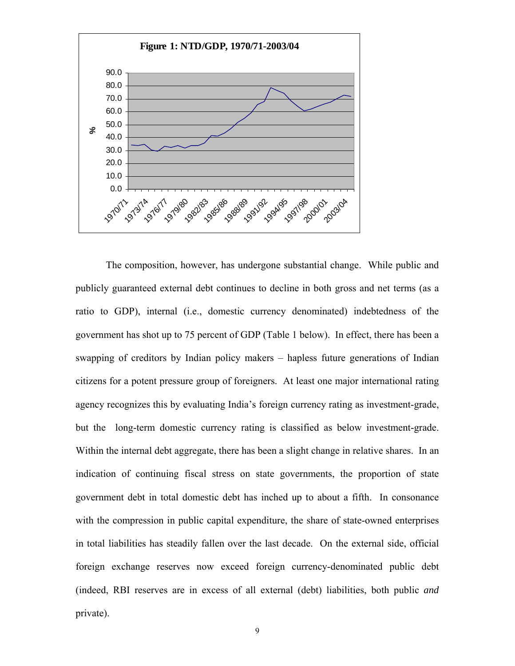

The composition, however, has undergone substantial change. While public and publicly guaranteed external debt continues to decline in both gross and net terms (as a ratio to GDP), internal (i.e., domestic currency denominated) indebtedness of the government has shot up to 75 percent of GDP (Table 1 below). In effect, there has been a swapping of creditors by Indian policy makers – hapless future generations of Indian citizens for a potent pressure group of foreigners. At least one major international rating agency recognizes this by evaluating India's foreign currency rating as investment-grade, but the long-term domestic currency rating is classified as below investment-grade. Within the internal debt aggregate, there has been a slight change in relative shares. In an indication of continuing fiscal stress on state governments, the proportion of state government debt in total domestic debt has inched up to about a fifth. In consonance with the compression in public capital expenditure, the share of state-owned enterprises in total liabilities has steadily fallen over the last decade. On the external side, official foreign exchange reserves now exceed foreign currency-denominated public debt (indeed, RBI reserves are in excess of all external (debt) liabilities, both public *and* private).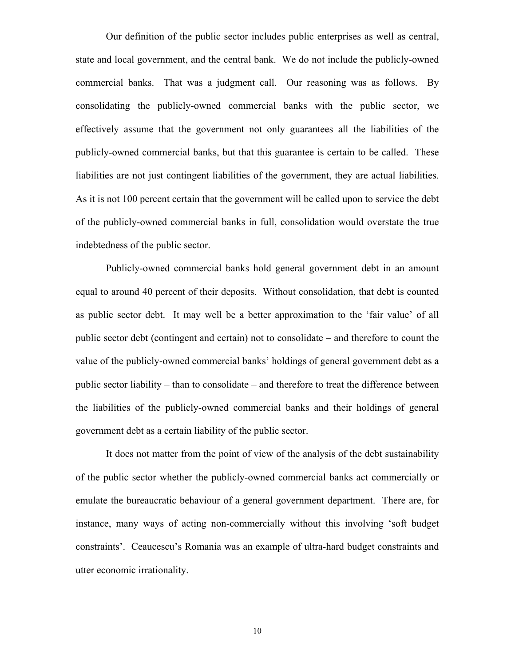Our definition of the public sector includes public enterprises as well as central, state and local government, and the central bank. We do not include the publicly-owned commercial banks. That was a judgment call. Our reasoning was as follows. By consolidating the publicly-owned commercial banks with the public sector, we effectively assume that the government not only guarantees all the liabilities of the publicly-owned commercial banks, but that this guarantee is certain to be called. These liabilities are not just contingent liabilities of the government, they are actual liabilities. As it is not 100 percent certain that the government will be called upon to service the debt of the publicly-owned commercial banks in full, consolidation would overstate the true indebtedness of the public sector.

Publicly-owned commercial banks hold general government debt in an amount equal to around 40 percent of their deposits. Without consolidation, that debt is counted as public sector debt. It may well be a better approximation to the 'fair value' of all public sector debt (contingent and certain) not to consolidate – and therefore to count the value of the publicly-owned commercial banks' holdings of general government debt as a public sector liability – than to consolidate – and therefore to treat the difference between the liabilities of the publicly-owned commercial banks and their holdings of general government debt as a certain liability of the public sector.

It does not matter from the point of view of the analysis of the debt sustainability of the public sector whether the publicly-owned commercial banks act commercially or emulate the bureaucratic behaviour of a general government department. There are, for instance, many ways of acting non-commercially without this involving 'soft budget constraints'. Ceaucescu's Romania was an example of ultra-hard budget constraints and utter economic irrationality.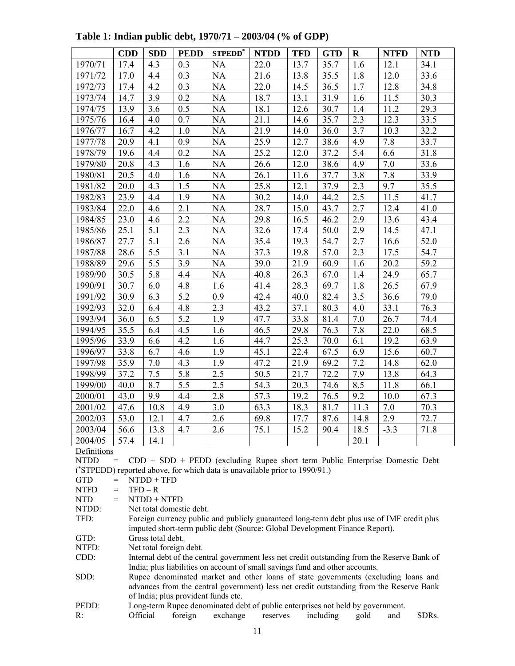|         | <b>CDD</b> | <b>SDD</b> | <b>PEDD</b> | STPEDD <sup>*</sup> | <b>NTDD</b> | <b>TFD</b> | <b>GTD</b> | $\mathbf R$ | <b>NTFD</b> | <b>NTD</b> |
|---------|------------|------------|-------------|---------------------|-------------|------------|------------|-------------|-------------|------------|
| 1970/71 | 17.4       | 4.3        | 0.3         | <b>NA</b>           | 22.0        | 13.7       | 35.7       | 1.6         | 12.1        | 34.1       |
| 1971/72 | 17.0       | 4.4        | 0.3         | <b>NA</b>           | 21.6        | 13.8       | 35.5       | 1.8         | 12.0        | 33.6       |
| 1972/73 | 17.4       | 4.2        | 0.3         | <b>NA</b>           | 22.0        | 14.5       | 36.5       | 1.7         | 12.8        | 34.8       |
| 1973/74 | 14.7       | 3.9        | 0.2         | <b>NA</b>           | 18.7        | 13.1       | 31.9       | 1.6         | 11.5        | 30.3       |
| 1974/75 | 13.9       | 3.6        | 0.5         | <b>NA</b>           | 18.1        | 12.6       | 30.7       | 1.4         | 11.2        | 29.3       |
| 1975/76 | 16.4       | 4.0        | 0.7         | <b>NA</b>           | 21.1        | 14.6       | 35.7       | 2.3         | 12.3        | 33.5       |
| 1976/77 | 16.7       | 4.2        | 1.0         | <b>NA</b>           | 21.9        | 14.0       | 36.0       | 3.7         | 10.3        | 32.2       |
| 1977/78 | 20.9       | 4.1        | 0.9         | <b>NA</b>           | 25.9        | 12.7       | 38.6       | 4.9         | 7.8         | 33.7       |
| 1978/79 | 19.6       | 4.4        | 0.2         | <b>NA</b>           | 25.2        | 12.0       | 37.2       | 5.4         | 6.6         | 31.8       |
| 1979/80 | 20.8       | 4.3        | 1.6         | <b>NA</b>           | 26.6        | 12.0       | 38.6       | 4.9         | 7.0         | 33.6       |
| 1980/81 | 20.5       | 4.0        | 1.6         | <b>NA</b>           | 26.1        | 11.6       | 37.7       | 3.8         | 7.8         | 33.9       |
| 1981/82 | 20.0       | 4.3        | 1.5         | <b>NA</b>           | 25.8        | 12.1       | 37.9       | 2.3         | 9.7         | 35.5       |
| 1982/83 | 23.9       | 4.4        | 1.9         | <b>NA</b>           | 30.2        | 14.0       | 44.2       | 2.5         | 11.5        | 41.7       |
| 1983/84 | 22.0       | 4.6        | 2.1         | <b>NA</b>           | 28.7        | 15.0       | 43.7       | 2.7         | 12.4        | 41.0       |
| 1984/85 | 23.0       | 4.6        | 2.2         | <b>NA</b>           | 29.8        | 16.5       | 46.2       | 2.9         | 13.6        | 43.4       |
| 1985/86 | 25.1       | 5.1        | 2.3         | <b>NA</b>           | 32.6        | 17.4       | 50.0       | 2.9         | 14.5        | 47.1       |
| 1986/87 | 27.7       | 5.1        | 2.6         | <b>NA</b>           | 35.4        | 19.3       | 54.7       | 2.7         | 16.6        | 52.0       |
| 1987/88 | 28.6       | 5.5        | 3.1         | <b>NA</b>           | 37.3        | 19.8       | 57.0       | 2.3         | 17.5        | 54.7       |
| 1988/89 | 29.6       | 5.5        | 3.9         | <b>NA</b>           | 39.0        | 21.9       | 60.9       | 1.6         | 20.2        | 59.2       |
| 1989/90 | 30.5       | 5.8        | 4.4         | <b>NA</b>           | 40.8        | 26.3       | 67.0       | 1.4         | 24.9        | 65.7       |
| 1990/91 | 30.7       | 6.0        | 4.8         | 1.6                 | 41.4        | 28.3       | 69.7       | 1.8         | 26.5        | 67.9       |
| 1991/92 | 30.9       | 6.3        | 5.2         | 0.9                 | 42.4        | 40.0       | 82.4       | 3.5         | 36.6        | 79.0       |
| 1992/93 | 32.0       | 6.4        | 4.8         | 2.3                 | 43.2        | 37.1       | 80.3       | 4.0         | 33.1        | 76.3       |
| 1993/94 | 36.0       | 6.5        | 5.2         | 1.9                 | 47.7        | 33.8       | 81.4       | 7.0         | 26.7        | 74.4       |
| 1994/95 | 35.5       | 6.4        | 4.5         | 1.6                 | 46.5        | 29.8       | 76.3       | 7.8         | 22.0        | 68.5       |
| 1995/96 | 33.9       | 6.6        | 4.2         | 1.6                 | 44.7        | 25.3       | 70.0       | 6.1         | 19.2        | 63.9       |
| 1996/97 | 33.8       | 6.7        | 4.6         | 1.9                 | 45.1        | 22.4       | 67.5       | 6.9         | 15.6        | 60.7       |
| 1997/98 | 35.9       | 7.0        | 4.3         | 1.9                 | 47.2        | 21.9       | 69.2       | 7.2         | 14.8        | 62.0       |
| 1998/99 | 37.2       | 7.5        | 5.8         | $2.\overline{5}$    | 50.5        | 21.7       | 72.2       | 7.9         | 13.8        | 64.3       |
| 1999/00 | 40.0       | 8.7        | 5.5         | $2.\overline{5}$    | 54.3        | 20.3       | 74.6       | 8.5         | 11.8        | 66.1       |
| 2000/01 | 43.0       | 9.9        | 4.4         | 2.8                 | 57.3        | 19.2       | 76.5       | 9.2         | 10.0        | 67.3       |
| 2001/02 | 47.6       | 10.8       | 4.9         | 3.0                 | 63.3        | 18.3       | 81.7       | 11.3        | 7.0         | 70.3       |
| 2002/03 | 53.0       | 12.1       | 4.7         | 2.6                 | 69.8        | 17.7       | 87.6       | 14.8        | 2.9         | 72.7       |
| 2003/04 | 56.6       | 13.8       | 4.7         | 2.6                 | 75.1        | 15.2       | 90.4       | 18.5        | $-3.3$      | 71.8       |
| 2004/05 | 57.4       | 14.1       |             |                     |             |            |            | 20.1        |             |            |

**Table 1: Indian public debt, 1970/71 – 2003/04 (% of GDP)**

**Definitions** 

NTDD = CDD + SDD + PEDD (excluding Rupee short term Public Enterprise Domestic Debt ( **\*** STPEDD) reported above, for which data is unavailable prior to 1990/91.)

GTD = NTDD + TFD

 $NTFD = TFD - R$ 

 $NTD = N T D D + N T F D$ 

NTDD: Net total domestic debt.

TFD: Foreign currency public and publicly guaranteed long-term debt plus use of IMF credit plus imputed short-term public debt (Source: Global Development Finance Report).

GTD: Gross total debt.

NTFD: Net total foreign debt.

CDD: Internal debt of the central government less net credit outstanding from the Reserve Bank of India; plus liabilities on account of small savings fund and other accounts.

SDD: Rupee denominated market and other loans of state governments (excluding loans and advances from the central government) less net credit outstanding from the Reserve Bank of India; plus provident funds etc.

PEDD: Long-term Rupee denominated debt of public enterprises not held by government.

R: Official foreign exchange reserves including gold and SDRs.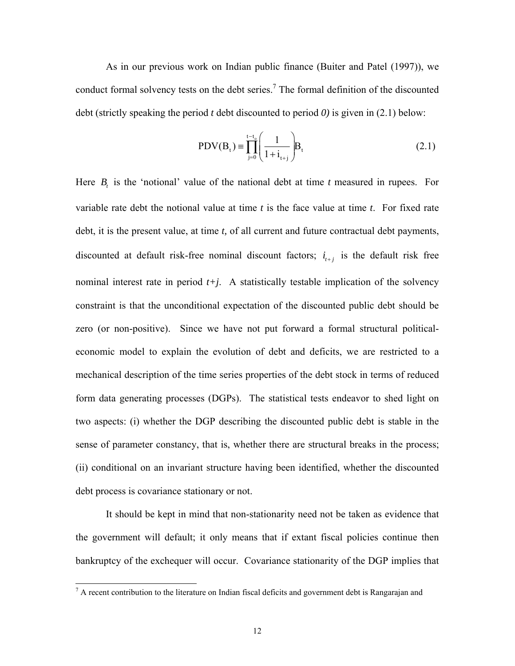As in our previous work on Indian public finance (Buiter and Patel (1997)), we conduct formal solvency tests on the debt series.<sup>7</sup> The formal definition of the discounted debt (strictly speaking the period *t* debt discounted to period *0)* is given in (2.1) below:

$$
PDV(B_t) = \prod_{j=0}^{t-t_0} \left(\frac{1}{1+i_{t+j}}\right) B_t
$$
 (2.1)

Here  $B_t$  is the 'notional' value of the national debt at time  $t$  measured in rupees. For variable rate debt the notional value at time *t* is the face value at time *t*. For fixed rate debt, it is the present value, at time *t,* of all current and future contractual debt payments, discounted at default risk-free nominal discount factors;  $i_{t+i}$  is the default risk free nominal interest rate in period  $t+j$ . A statistically testable implication of the solvency constraint is that the unconditional expectation of the discounted public debt should be zero (or non-positive). Since we have not put forward a formal structural politicaleconomic model to explain the evolution of debt and deficits, we are restricted to a mechanical description of the time series properties of the debt stock in terms of reduced form data generating processes (DGPs). The statistical tests endeavor to shed light on two aspects: (i) whether the DGP describing the discounted public debt is stable in the sense of parameter constancy, that is, whether there are structural breaks in the process; (ii) conditional on an invariant structure having been identified, whether the discounted debt process is covariance stationary or not.

It should be kept in mind that non-stationarity need not be taken as evidence that the government will default; it only means that if extant fiscal policies continue then bankruptcy of the exchequer will occur. Covariance stationarity of the DGP implies that

<span id="page-12-0"></span><sup>&</sup>lt;sup>-</sup><br>7  $\alpha$  A recent contribution to the literature on Indian fiscal deficits and government debt is Rangarajan and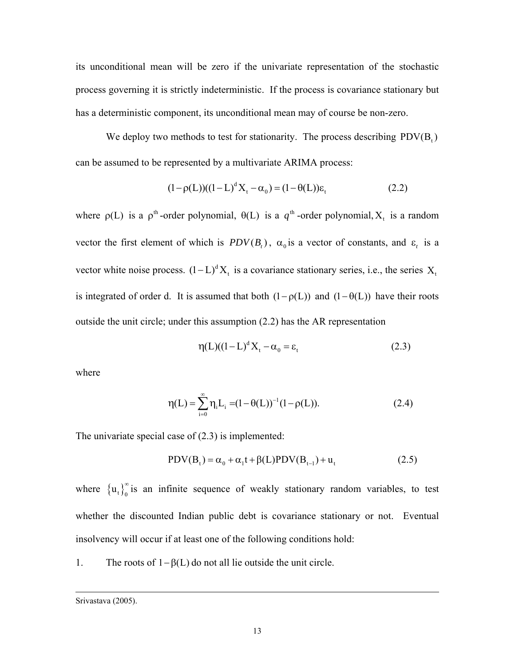its unconditional mean will be zero if the univariate representation of the stochastic process governing it is strictly indeterministic. If the process is covariance stationary but has a deterministic component, its unconditional mean may of course be non-zero.

We deploy two methods to test for stationarity. The process describing  $PDV(B_t)$ can be assumed to be represented by a multivariate ARIMA process:

$$
(1 - \rho(L))((1 - L)^{d} X_{t} - \alpha_{0}) = (1 - \theta(L))\varepsilon_{t}
$$
\n(2.2)

where  $\rho(L)$  is a  $\rho^{\text{th}}$ -order polynomial,  $\theta(L)$  is a  $q^{\text{th}}$ -order polynomial,  $X_t$  is a random vector the first element of which is  $PDV(B_t)$ ,  $\alpha_0$  is a vector of constants, and  $\varepsilon_t$  is a vector white noise process.  $(1-L)^d X_t$  is a covariance stationary series, i.e., the series  $X_t$ is integrated of order d. It is assumed that both  $(1 - \rho(L))$  and  $(1 - \theta(L))$  have their roots outside the unit circle; under this assumption (2.2) has the AR representation

$$
\eta(L)((1-L)^{d}X_{t} - \alpha_{0} = \varepsilon_{t}
$$
\n(2.3)

where

$$
\eta(L) = \sum_{i=0}^{\infty} \eta_i L_i = (1 - \theta(L))^{-1} (1 - \rho(L)).
$$
\n(2.4)

The univariate special case of (2.3) is implemented:

$$
PDV(Bt) = \alpha_0 + \alpha_1 t + \beta(L) PDV(Bt-1) + u_t
$$
 (2.5)

where  ${u_t}_{0}^{\infty}$  is an infinite sequence of weakly stationary random variables, to test whether the discounted Indian public debt is covariance stationary or not. Eventual insolvency will occur if at least one of the following conditions hold:

1. The roots of 1− β(L) do not all lie outside the unit circle.

 $\overline{a}$ 

Srivastava (2005).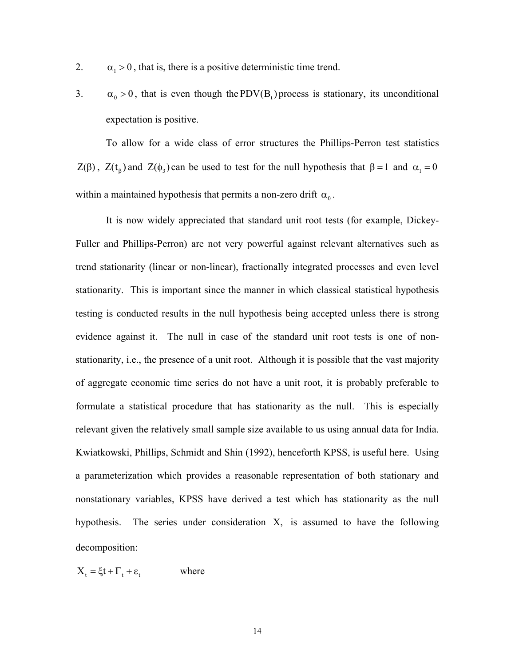- 2.  $\alpha_1 > 0$ , that is, there is a positive deterministic time trend.
- 3.  $\alpha_0 > 0$ , that is even though the PDV(B<sub>t</sub>) process is stationary, its unconditional expectation is positive.

To allow for a wide class of error structures the Phillips-Perron test statistics Z(β), Z(t<sub>β</sub>) and Z( $\phi$ <sub>3</sub>) can be used to test for the null hypothesis that β = 1 and  $\alpha_1 = 0$ within a maintained hypothesis that permits a non-zero drift  $\alpha_0$ .

It is now widely appreciated that standard unit root tests (for example, Dickey-Fuller and Phillips-Perron) are not very powerful against relevant alternatives such as trend stationarity (linear or non-linear), fractionally integrated processes and even level stationarity. This is important since the manner in which classical statistical hypothesis testing is conducted results in the null hypothesis being accepted unless there is strong evidence against it. The null in case of the standard unit root tests is one of nonstationarity, i.e., the presence of a unit root. Although it is possible that the vast majority of aggregate economic time series do not have a unit root, it is probably preferable to formulate a statistical procedure that has stationarity as the null. This is especially relevant given the relatively small sample size available to us using annual data for India. Kwiatkowski, Phillips, Schmidt and Shin (1992), henceforth KPSS, is useful here. Using a parameterization which provides a reasonable representation of both stationary and nonstationary variables, KPSS have derived a test which has stationarity as the null hypothesis. The series under consideration  $X$ , is assumed to have the following decomposition:

$$
X_t = \xi t + \Gamma_t + \varepsilon_t \qquad \text{where}
$$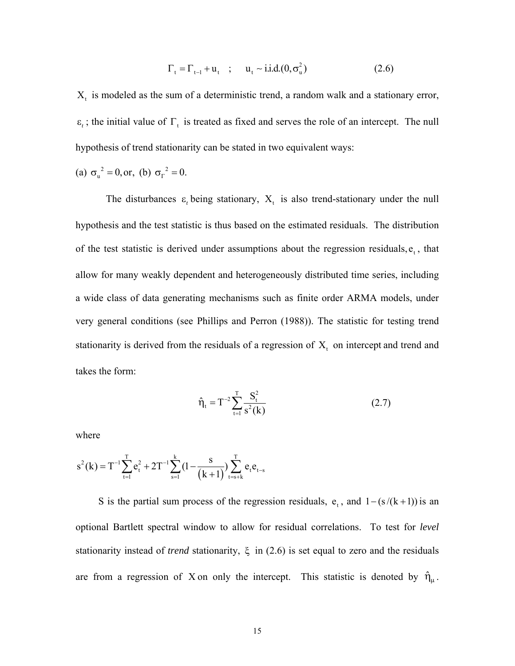$$
\Gamma_{t} = \Gamma_{t-1} + u_{t} \quad ; \quad u_{t} \sim i.i.d.(0, \sigma_{u}^{2}) \tag{2.6}
$$

 $X_t$  is modeled as the sum of a deterministic trend, a random walk and a stationary error,  $\epsilon_t$ ; the initial value of  $\Gamma_t$  is treated as fixed and serves the role of an intercept. The null hypothesis of trend stationarity can be stated in two equivalent ways:

(a) 
$$
\sigma_u^2 = 0
$$
, or, (b)  $\sigma_r^2 = 0$ .

The disturbances  $\varepsilon$ , being stationary,  $X_t$  is also trend-stationary under the null hypothesis and the test statistic is thus based on the estimated residuals. The distribution of the test statistic is derived under assumptions about the regression residuals,  $e_t$ , that allow for many weakly dependent and heterogeneously distributed time series, including a wide class of data generating mechanisms such as finite order ARMA models, under very general conditions (see Phillips and Perron (1988)). The statistic for testing trend stationarity is derived from the residuals of a regression of  $X_t$  on intercept and trend and takes the form:

$$
\hat{\eta}_t = T^{-2} \sum_{t=1}^T \frac{S_t^2}{s^2(k)} \tag{2.7}
$$

where

$$
s^{2}(k) = T^{-1} \sum_{t=1}^{T} e_{t}^{2} + 2T^{-1} \sum_{s=1}^{k} (1 - \frac{s}{(k+1)}) \sum_{t=s+k}^{T} e_{t} e_{t-s}
$$

S is the partial sum process of the regression residuals,  $e_t$ , and  $1 - (s/(k+1))$  is an optional Bartlett spectral window to allow for residual correlations. To test for *level* stationarity instead of *trend* stationarity, ξ in (2.6) is set equal to zero and the residuals are from a regression of X on only the intercept. This statistic is denoted by  $\hat{\eta}_{\mu}$ .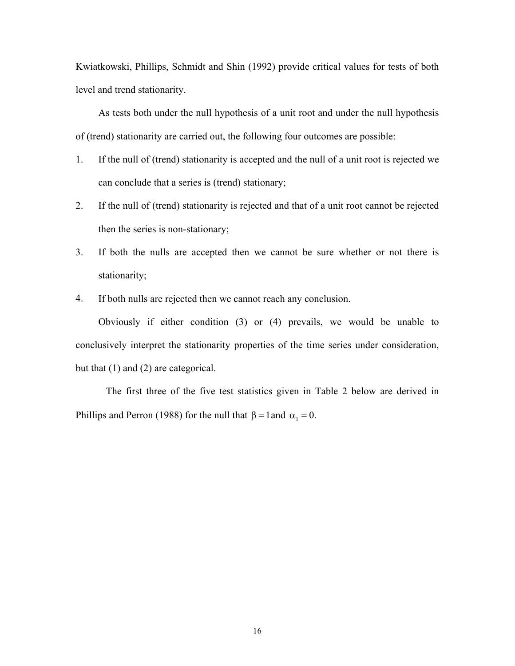Kwiatkowski, Phillips, Schmidt and Shin (1992) provide critical values for tests of both level and trend stationarity.

As tests both under the null hypothesis of a unit root and under the null hypothesis of (trend) stationarity are carried out, the following four outcomes are possible:

- 1. If the null of (trend) stationarity is accepted and the null of a unit root is rejected we can conclude that a series is (trend) stationary;
- 2. If the null of (trend) stationarity is rejected and that of a unit root cannot be rejected then the series is non-stationary;
- 3. If both the nulls are accepted then we cannot be sure whether or not there is stationarity;
- 4. If both nulls are rejected then we cannot reach any conclusion.

Obviously if either condition (3) or (4) prevails, we would be unable to conclusively interpret the stationarity properties of the time series under consideration, but that (1) and (2) are categorical.

The first three of the five test statistics given in Table 2 below are derived in Phillips and Perron (1988) for the null that  $\beta = 1$  and  $\alpha_1 = 0$ .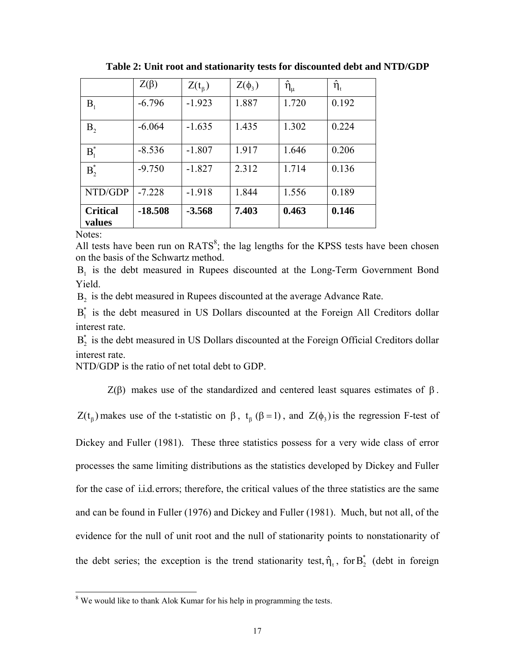|                           | $Z(\beta)$ | $Z(t_\beta)$ | $Z(\phi_3)$ | $\hat{\eta}_{\mu}$ | $\hat{\eta}_t$ |
|---------------------------|------------|--------------|-------------|--------------------|----------------|
| B <sub>1</sub>            | $-6.796$   | $-1.923$     | 1.887       | 1.720              | 0.192          |
| B <sub>2</sub>            | $-6.064$   | $-1.635$     | 1.435       | 1.302              | 0.224          |
| $B_i^*$                   | $-8.536$   | $-1.807$     | 1.917       | 1.646              | 0.206          |
| $B^*$                     | $-9.750$   | $-1.827$     | 2.312       | 1.714              | 0.136          |
| NTD/GDP                   | $-7.228$   | $-1.918$     | 1.844       | 1.556              | 0.189          |
| <b>Critical</b><br>values | $-18.508$  | $-3.568$     | 7.403       | 0.463              | 0.146          |

**Table 2: Unit root and stationarity tests for discounted debt and NTD/GDP** 

Notes:

All tests have been run on  $RATS^8$  $RATS^8$ ; the lag lengths for the KPSS tests have been chosen on the basis of the Schwartz method.

B<sub>1</sub> is the debt measured in Rupees discounted at the Long-Term Government Bond Yield.

B<sub>2</sub> is the debt measured in Rupees discounted at the average Advance Rate.

 $B<sub>i</sub><sup>*</sup>$  is the debt measured in US Dollars discounted at the Foreign All Creditors dollar interest rate.

 $B_{2}^{*}$  is the debt measured in US Dollars discounted at the Foreign Official Creditors dollar interest rate.

NTD/GDP is the ratio of net total debt to GDP.

Z(β) makes use of the standardized and centered least squares estimates of  $β$ .

 $Z(t_{\rm g})$  makes use of the t-statistic on  $\beta$ ,  $t_{\rm g}$  ( $\beta$  = 1), and  $Z(\phi_3)$  is the regression F-test of

Dickey and Fuller (1981). These three statistics possess for a very wide class of error processes the same limiting distributions as the statistics developed by Dickey and Fuller for the case of i.i.d. errors; therefore, the critical values of the three statistics are the same and can be found in Fuller (1976) and Dickey and Fuller (1981). Much, but not all, of the evidence for the null of unit root and the null of stationarity points to nonstationarity of the debt series; the exception is the trend stationarity test,  $\hat{\eta}_t$ , for  $B_2^*$  (debt in foreign

<span id="page-17-0"></span><sup>&</sup>lt;sup>8</sup> We would like to thank Alok Kumar for his help in programming the tests.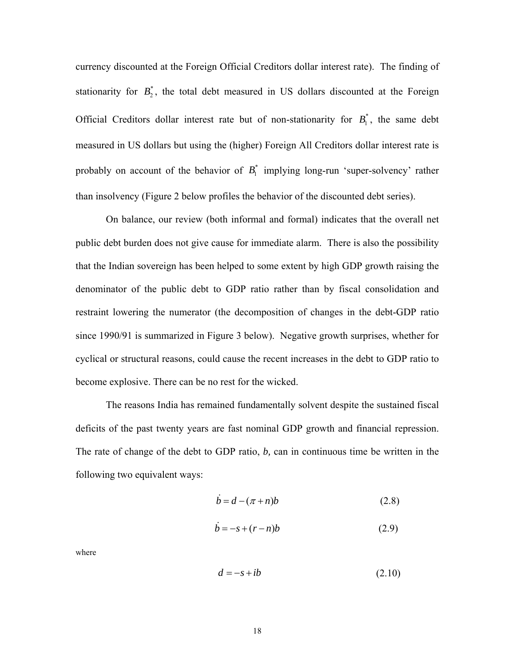currency discounted at the Foreign Official Creditors dollar interest rate). The finding of stationarity for  $B_2^*$ , the total debt measured in US dollars discounted at the Foreign Official Creditors dollar interest rate but of non-stationarity for  $B_1^*$ , the same debt measured in US dollars but using the (higher) Foreign All Creditors dollar interest rate is probably on account of the behavior of  $B_1^*$  implying long-run 'super-solvency' rather than insolvency (Figure 2 below profiles the behavior of the discounted debt series).

On balance, our review (both informal and formal) indicates that the overall net public debt burden does not give cause for immediate alarm. There is also the possibility that the Indian sovereign has been helped to some extent by high GDP growth raising the denominator of the public debt to GDP ratio rather than by fiscal consolidation and restraint lowering the numerator (the decomposition of changes in the debt-GDP ratio since 1990/91 is summarized in Figure 3 below). Negative growth surprises, whether for cyclical or structural reasons, could cause the recent increases in the debt to GDP ratio to become explosive. There can be no rest for the wicked.

The reasons India has remained fundamentally solvent despite the sustained fiscal deficits of the past twenty years are fast nominal GDP growth and financial repression. The rate of change of the debt to GDP ratio, *b,* can in continuous time be written in the following two equivalent ways:

$$
\dot{b} = d - (\pi + n)b \tag{2.8}
$$

$$
\dot{b} = -s + (r - n)b \tag{2.9}
$$

where

$$
d = -s + ib \tag{2.10}
$$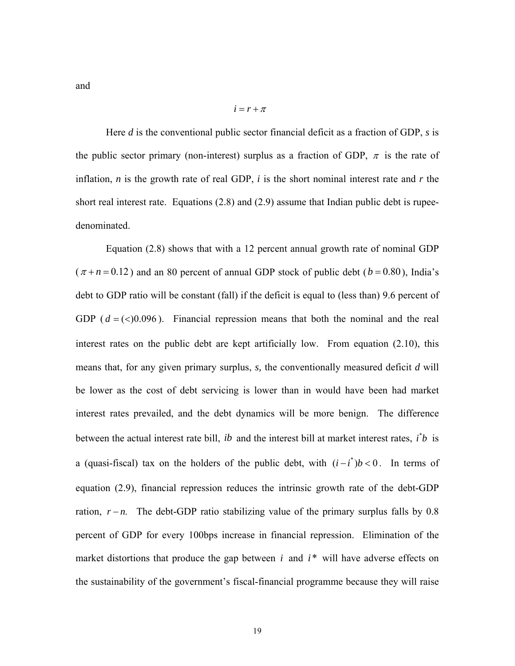and

$$
i = r + \pi
$$

Here *d* is the conventional public sector financial deficit as a fraction of GDP, *s* is the public sector primary (non-interest) surplus as a fraction of GDP,  $\pi$  is the rate of inflation, *n* is the growth rate of real GDP, *i* is the short nominal interest rate and *r* the short real interest rate. Equations (2.8) and (2.9) assume that Indian public debt is rupeedenominated.

Equation (2.8) shows that with a 12 percent annual growth rate of nominal GDP  $(\pi + n = 0.12)$  and an 80 percent of annual GDP stock of public debt ( $b = 0.80$ ), India's debt to GDP ratio will be constant (fall) if the deficit is equal to (less than) 9.6 percent of GDP  $(d = \langle 0.096 \rangle)$ . Financial repression means that both the nominal and the real interest rates on the public debt are kept artificially low. From equation (2.10), this means that, for any given primary surplus, *s,* the conventionally measured deficit *d* will be lower as the cost of debt servicing is lower than in would have been had market interest rates prevailed, and the debt dynamics will be more benign. The difference between the actual interest rate bill, *ib* and the interest bill at market interest rates,  $i^*b$  is a (quasi-fiscal) tax on the holders of the public debt, with  $(i - i^*)b < 0$ . In terms of equation (2.9), financial repression reduces the intrinsic growth rate of the debt-GDP ration,  $r - n$ . The debt-GDP ratio stabilizing value of the primary surplus falls by 0.8 percent of GDP for every 100bps increase in financial repression. Elimination of the market distortions that produce the gap between  $i$  and  $i^*$  will have adverse effects on the sustainability of the government's fiscal-financial programme because they will raise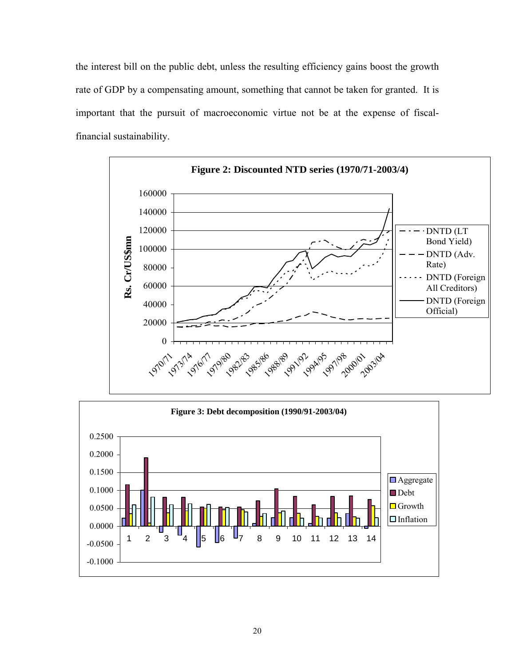the interest bill on the public debt, unless the resulting efficiency gains boost the growth rate of GDP by a compensating amount, something that cannot be taken for granted. It is important that the pursuit of macroeconomic virtue not be at the expense of fiscalfinancial sustainability.



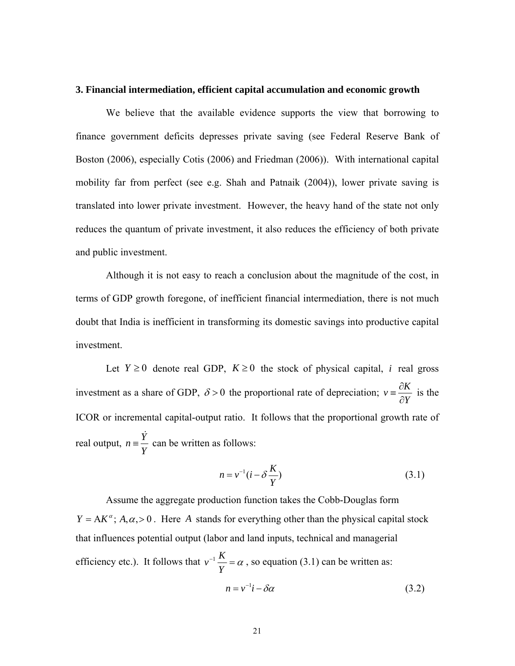#### **3. Financial intermediation, efficient capital accumulation and economic growth**

We believe that the available evidence supports the view that borrowing to finance government deficits depresses private saving (see Federal Reserve Bank of Boston (2006), especially Cotis (2006) and Friedman (2006)). With international capital mobility far from perfect (see e.g. Shah and Patnaik (2004)), lower private saving is translated into lower private investment. However, the heavy hand of the state not only reduces the quantum of private investment, it also reduces the efficiency of both private and public investment.

Although it is not easy to reach a conclusion about the magnitude of the cost, in terms of GDP growth foregone, of inefficient financial intermediation, there is not much doubt that India is inefficient in transforming its domestic savings into productive capital investment.

Let  $Y \ge 0$  denote real GDP,  $K \ge 0$  the stock of physical capital, *i* real gross investment as a share of GDP,  $\delta > 0$  the proportional rate of depreciation;  $v = \frac{\partial K}{\partial x}$  $\equiv \frac{\partial K}{\partial Y}$  is the ICOR or incremental capital-output ratio. It follows that the proportional growth rate of real output,  $n = \frac{Y}{Y}$  $\frac{\dot{Y}}{Y}$ can be written as follows:

$$
n = v^{-1}(i - \delta \frac{K}{Y})
$$
\n(3.1)

Assume the aggregate production function takes the Cobb-Douglas form  $Y = AK^{\alpha}$ ;  $A, \alpha > 0$ . Here A stands for everything other than the physical capital stock that influences potential output (labor and land inputs, technical and managerial efficiency etc.). It follows that  $v^{-1} \frac{K}{\sigma}$ *Y*  $a^{-1}$   $\frac{\Lambda}{\Lambda}$  =  $\alpha$ , so equation (3.1) can be written as:  $n = v^{-1}i - \delta \alpha$  (3.2)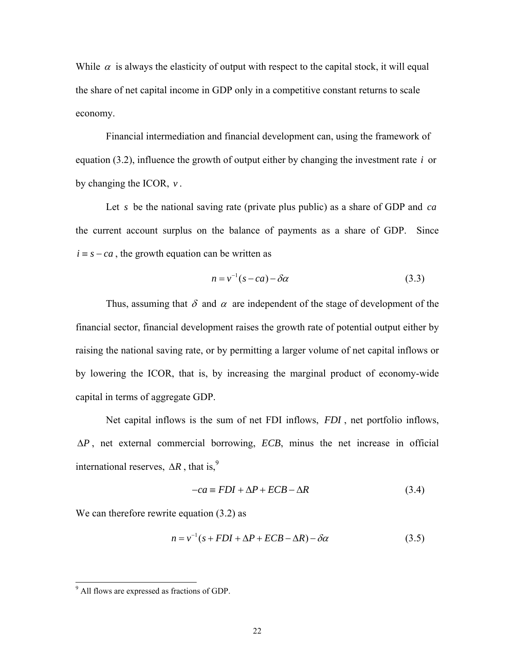While  $\alpha$  is always the elasticity of output with respect to the capital stock, it will equal the share of net capital income in GDP only in a competitive constant returns to scale economy.

Financial intermediation and financial development can, using the framework of equation  $(3.2)$ , influence the growth of output either by changing the investment rate  $i$  or by changing the ICOR,  $v$ .

Let *s* be the national saving rate (private plus public) as a share of GDP and *ca* the current account surplus on the balance of payments as a share of GDP. Since  $i = s - ca$ , the growth equation can be written as

$$
n = v^{-1}(s - ca) - \delta \alpha \tag{3.3}
$$

Thus, assuming that  $\delta$  and  $\alpha$  are independent of the stage of development of the financial sector, financial development raises the growth rate of potential output either by raising the national saving rate, or by permitting a larger volume of net capital inflows or by lowering the ICOR, that is, by increasing the marginal product of economy-wide capital in terms of aggregate GDP.

Net capital inflows is the sum of net FDI inflows, FDI, net portfolio inflows, , net external commercial borrowing, *ECB*, minus the net increase in official ∆*P* international reserves,  $\Delta R$ , that is,<sup>9</sup>

$$
-ca \equiv FDI + \Delta P + ECB - \Delta R \tag{3.4}
$$

We can therefore rewrite equation  $(3.2)$  as

$$
n = v^{-1}(s + FDI + \Delta P + ECB - \Delta R) - \delta \alpha \tag{3.5}
$$

<span id="page-22-0"></span><sup>9</sup> <sup>9</sup> All flows are expressed as fractions of GDP.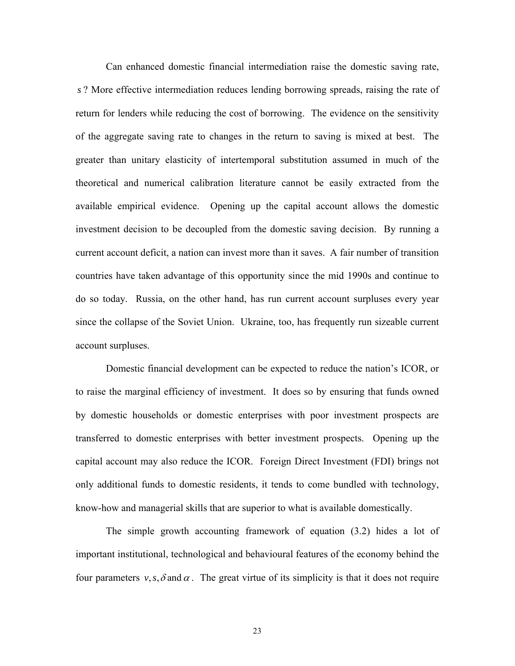Can enhanced domestic financial intermediation raise the domestic saving rate, *s* ? More effective intermediation reduces lending borrowing spreads, raising the rate of return for lenders while reducing the cost of borrowing. The evidence on the sensitivity of the aggregate saving rate to changes in the return to saving is mixed at best. The greater than unitary elasticity of intertemporal substitution assumed in much of the theoretical and numerical calibration literature cannot be easily extracted from the available empirical evidence. Opening up the capital account allows the domestic investment decision to be decoupled from the domestic saving decision. By running a current account deficit, a nation can invest more than it saves. A fair number of transition countries have taken advantage of this opportunity since the mid 1990s and continue to do so today. Russia, on the other hand, has run current account surpluses every year since the collapse of the Soviet Union. Ukraine, too, has frequently run sizeable current account surpluses.

Domestic financial development can be expected to reduce the nation's ICOR, or to raise the marginal efficiency of investment. It does so by ensuring that funds owned by domestic households or domestic enterprises with poor investment prospects are transferred to domestic enterprises with better investment prospects. Opening up the capital account may also reduce the ICOR. Foreign Direct Investment (FDI) brings not only additional funds to domestic residents, it tends to come bundled with technology, know-how and managerial skills that are superior to what is available domestically.

The simple growth accounting framework of equation (3.2) hides a lot of important institutional, technological and behavioural features of the economy behind the four parameters  $v, s, \delta$  and  $\alpha$ . The great virtue of its simplicity is that it does not require

23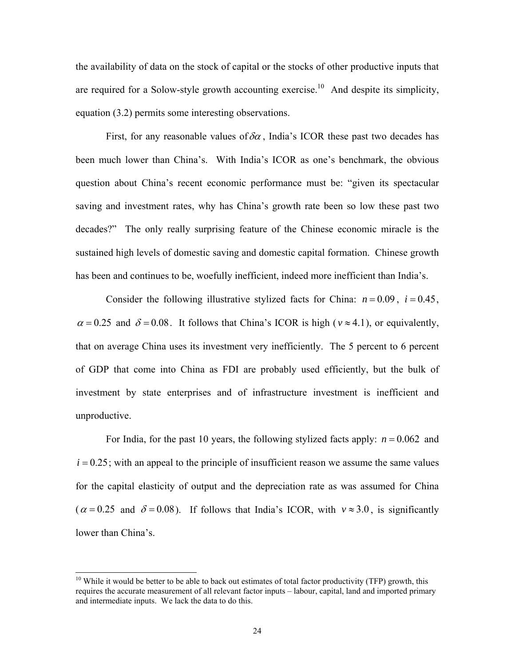the availability of data on the stock of capital or the stocks of other productive inputs that are required for a Solow-style growth accounting exercise.<sup>10</sup> And despite its simplicity, equation (3.2) permits some interesting observations.

First, for any reasonable values of  $\delta \alpha$ , India's ICOR these past two decades has been much lower than China's. With India's ICOR as one's benchmark, the obvious question about China's recent economic performance must be: "given its spectacular saving and investment rates, why has China's growth rate been so low these past two decades?" The only really surprising feature of the Chinese economic miracle is the sustained high levels of domestic saving and domestic capital formation. Chinese growth has been and continues to be, woefully inefficient, indeed more inefficient than India's.

Consider the following illustrative stylized facts for China:  $n = 0.09$ ,  $i = 0.45$ ,  $\alpha = 0.25$  and  $\delta = 0.08$ . It follows that China's ICOR is high ( $v \approx 4.1$ ), or equivalently, that on average China uses its investment very inefficiently. The 5 percent to 6 percent of GDP that come into China as FDI are probably used efficiently, but the bulk of investment by state enterprises and of infrastructure investment is inefficient and unproductive.

For India, for the past 10 years, the following stylized facts apply:  $n = 0.062$  and  $i = 0.25$ ; with an appeal to the principle of insufficient reason we assume the same values for the capital elasticity of output and the depreciation rate as was assumed for China  $(\alpha = 0.25 \text{ and } \delta = 0.08)$ . If follows that India's ICOR, with  $v \approx 3.0$ , is significantly lower than China's.

<span id="page-24-0"></span> $10$  While it would be better to be able to back out estimates of total factor productivity (TFP) growth, this requires the accurate measurement of all relevant factor inputs – labour, capital, land and imported primary and intermediate inputs. We lack the data to do this.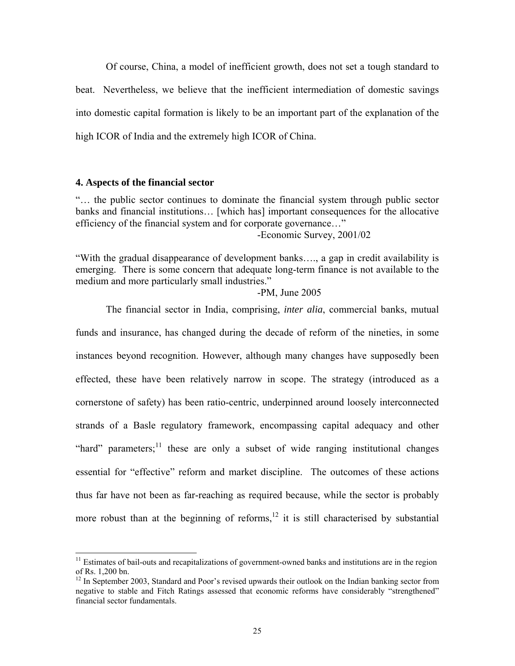Of course, China, a model of inefficient growth, does not set a tough standard to beat. Nevertheless, we believe that the inefficient intermediation of domestic savings into domestic capital formation is likely to be an important part of the explanation of the high ICOR of India and the extremely high ICOR of China.

#### **4. Aspects of the financial sector**

"… the public sector continues to dominate the financial system through public sector banks and financial institutions… [which has] important consequences for the allocative efficiency of the financial system and for corporate governance…"

-Economic Survey, 2001/02

"With the gradual disappearance of development banks…., a gap in credit availability is emerging. There is some concern that adequate long-term finance is not available to the medium and more particularly small industries."

-PM, June 2005

The financial sector in India, comprising, *inter alia*, commercial banks, mutual funds and insurance, has changed during the decade of reform of the nineties, in some instances beyond recognition. However, although many changes have supposedly been effected, these have been relatively narrow in scope. The strategy (introduced as a cornerstone of safety) has been ratio-centric, underpinned around loosely interconnected strands of a Basle regulatory framework, encompassing capital adequacy and other "hard" parameters;<sup>11</sup> these are only a subset of wide ranging institutional changes essential for "effective" reform and market discipline. The outcomes of these actions thus far have not been as far-reaching as required because, while the sector is probably more robust than at the beginning of reforms,  $12$  it is still characterised by substantial

<span id="page-25-0"></span> $11$  Estimates of bail-outs and recapitalizations of government-owned banks and institutions are in the region of Rs. 1,200 bn.

<span id="page-25-1"></span> $12$  In September 2003, Standard and Poor's revised upwards their outlook on the Indian banking sector from negative to stable and Fitch Ratings assessed that economic reforms have considerably "strengthened" financial sector fundamentals.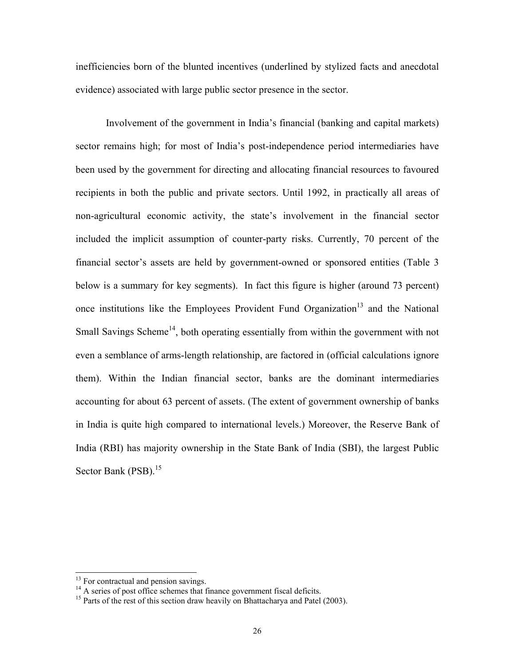inefficiencies born of the blunted incentives (underlined by stylized facts and anecdotal evidence) associated with large public sector presence in the sector.

Involvement of the government in India's financial (banking and capital markets) sector remains high; for most of India's post-independence period intermediaries have been used by the government for directing and allocating financial resources to favoured recipients in both the public and private sectors. Until 1992, in practically all areas of non-agricultural economic activity, the state's involvement in the financial sector included the implicit assumption of counter-party risks. Currently, 70 percent of the financial sector's assets are held by government-owned or sponsored entities (Table 3 below is a summary for key segments). In fact this figure is higher (around 73 percent) once institutions like the Employees Provident Fund Organization<sup>13</sup> and the National Small Savings Scheme<sup>14</sup>, both operating essentially from within the government with not even a semblance of arms-length relationship, are factored in (official calculations ignore them). Within the Indian financial sector, banks are the dominant intermediaries accounting for about 63 percent of assets. (The extent of government ownership of banks in India is quite high compared to international levels.) Moreover, the Reserve Bank of India (RBI) has majority ownership in the State Bank of India (SBI), the largest Public Sector Bank (PSB).<sup>15</sup>

<span id="page-26-0"></span>

<span id="page-26-2"></span><span id="page-26-1"></span>

<sup>&</sup>lt;sup>13</sup> For contractual and pension savings.<br><sup>14</sup> A series of post office schemes that finance government fiscal deficits.<br><sup>15</sup> Parts of the rest of this section draw heavily on Bhattacharya and Patel (2003).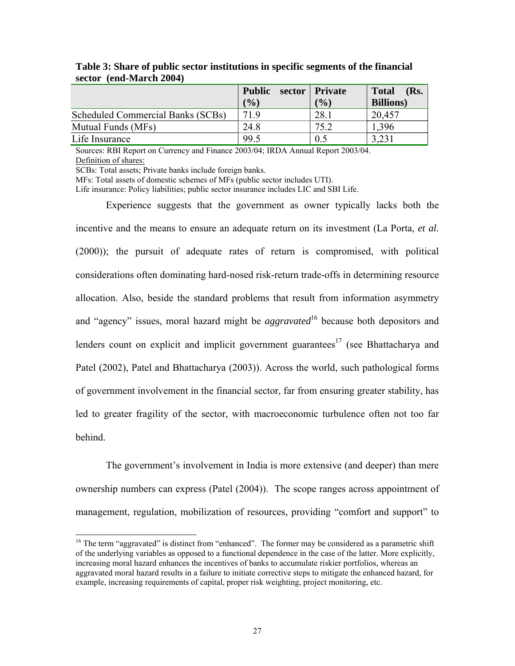|                                   | <b>Public</b> | sector   Private | <b>Total</b><br>(Rs. |
|-----------------------------------|---------------|------------------|----------------------|
|                                   | (9/0)         | $\frac{1}{2}$    | <b>Billions</b> )    |
| Scheduled Commercial Banks (SCBs) | 71 Q          |                  | 20 457               |
| Mutual Funds (MFs)                |               |                  |                      |
| Life Insurance                    |               |                  |                      |

**Table 3: Share of public sector institutions in specific segments of the financial sector (end-March 2004)** 

Sources: RBI Report on Currency and Finance 2003/04; IRDA Annual Report 2003/04. Definition of shares:

SCBs: Total assets; Private banks include foreign banks.

MFs: Total assets of domestic schemes of MFs (public sector includes UTI).

Life insurance: Policy liabilities; public sector insurance includes LIC and SBI Life.

Experience suggests that the government as owner typically lacks both the incentive and the means to ensure an adequate return on its investment (La Porta, *et al.* (2000)); the pursuit of adequate rates of return is compromised, with political considerations often dominating hard-nosed risk-return trade-offs in determining resource allocation. Also, beside the standard problems that result from information asymmetry and "agency" issues, moral hazard might be *aggravated*<sup>16</sup> because both depositors and lenders count on explicit and implicit government guarantees<sup>17</sup> (see Bhattacharya and Patel (2002), Patel and Bhattacharya (2003)). Across the world, such pathological forms of government involvement in the financial sector, far from ensuring greater stability, has led to greater fragility of the sector, with macroeconomic turbulence often not too far behind.

The government's involvement in India is more extensive (and deeper) than mere ownership numbers can express (Patel (2004)). The scope ranges across appointment of management, regulation, mobilization of resources, providing "comfort and support" to

<span id="page-27-1"></span><span id="page-27-0"></span><sup>&</sup>lt;sup>16</sup> The term "aggravated" is distinct from "enhanced". The former may be considered as a parametric shift of the underlying variables as opposed to a functional dependence in the case of the latter. More explicitly, increasing moral hazard enhances the incentives of banks to accumulate riskier portfolios, whereas an aggravated moral hazard results in a failure to initiate corrective steps to mitigate the enhanced hazard, for example, increasing requirements of capital, proper risk weighting, project monitoring, etc.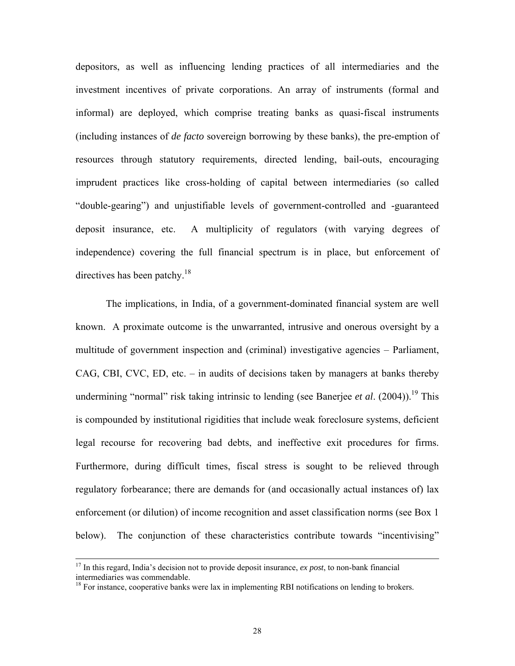depositors, as well as influencing lending practices of all intermediaries and the investment incentives of private corporations. An array of instruments (formal and informal) are deployed, which comprise treating banks as quasi-fiscal instruments (including instances of *de facto* sovereign borrowing by these banks), the pre-emption of resources through statutory requirements, directed lending, bail-outs, encouraging imprudent practices like cross-holding of capital between intermediaries (so called "double-gearing") and unjustifiable levels of government-controlled and -guaranteed deposit insurance, etc. A multiplicity of regulators (with varying degrees of independence) covering the full financial spectrum is in place, but enforcement of directives has been patchy. $18$ 

The implications, in India, of a government-dominated financial system are well known. A proximate outcome is the unwarranted, intrusive and onerous oversight by a multitude of government inspection and (criminal) investigative agencies – Parliament, CAG, CBI, CVC, ED, etc. – in audits of decisions taken by managers at banks thereby undermining "normal" risk taking intrinsic to lending (see Banerjee *et al.*  $(2004)$ ).<sup>19</sup> This is compounded by institutional rigidities that include weak foreclosure systems, deficient legal recourse for recovering bad debts, and ineffective exit procedures for firms. Furthermore, during difficult times, fiscal stress is sought to be relieved through regulatory forbearance; there are demands for (and occasionally actual instances of) lax enforcement (or dilution) of income recognition and asset classification norms (see Box 1 below). The conjunction of these characteristics contribute towards "incentivising"

<span id="page-28-1"></span> <sup>17</sup> In this regard, India's decision not to provide deposit insurance, *ex post*, to non-bank financial intermediaries was commendable.<br><sup>18</sup> For instance, cooperative banks were lax in implementing RBI notifications on lending to brokers.

<span id="page-28-0"></span>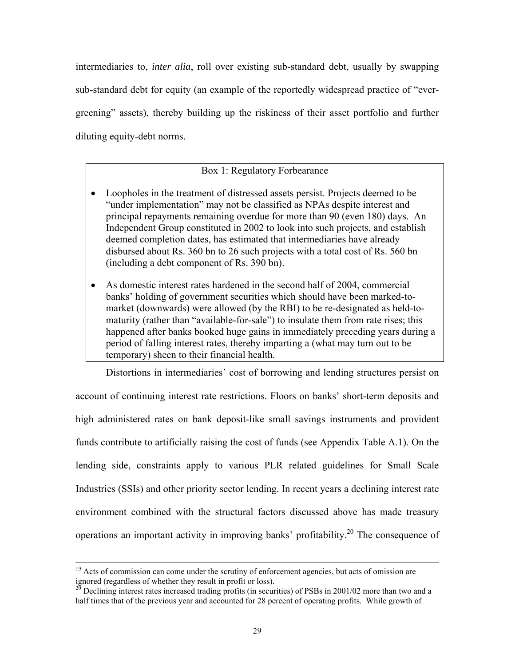intermediaries to, *inter alia*, roll over existing sub-standard debt, usually by swapping sub-standard debt for equity (an example of the reportedly widespread practice of "evergreening" assets), thereby building up the riskiness of their asset portfolio and further diluting equity-debt norms.

# Box 1: Regulatory Forbearance

- Loopholes in the treatment of distressed assets persist. Projects deemed to be "under implementation" may not be classified as NPAs despite interest and principal repayments remaining overdue for more than 90 (even 180) days. An Independent Group constituted in 2002 to look into such projects, and establish deemed completion dates, has estimated that intermediaries have already disbursed about Rs. 360 bn to 26 such projects with a total cost of Rs. 560 bn (including a debt component of Rs. 390 bn).
- As domestic interest rates hardened in the second half of 2004, commercial banks' holding of government securities which should have been marked-tomarket (downwards) were allowed (by the RBI) to be re-designated as held-tomaturity (rather than "available-for-sale") to insulate them from rate rises; this happened after banks booked huge gains in immediately preceding years during a period of falling interest rates, thereby imparting a (what may turn out to be temporary) sheen to their financial health.

Distortions in intermediaries' cost of borrowing and lending structures persist on account of continuing interest rate restrictions. Floors on banks' short-term deposits and high administered rates on bank deposit-like small savings instruments and provident funds contribute to artificially raising the cost of funds (see Appendix Table A.1). On the lending side, constraints apply to various PLR related guidelines for Small Scale Industries (SSIs) and other priority sector lending. In recent years a declining interest rate environment combined with the structural factors discussed above has made treasury operations an important activity in improving banks' profitability.<sup>20</sup> The consequence of

<sup>&</sup>lt;sup>19</sup> Acts of commission can come under the scrutiny of enforcement agencies, but acts of omission are ignored (regardless of whether they result in profit or loss).<br><sup>20</sup> Declining interest rates increased trading profits (in securities) of PSBs in 2001/02 more than two and a

<span id="page-29-0"></span>half times that of the previous year and accounted for 28 percent of operating profits. While growth of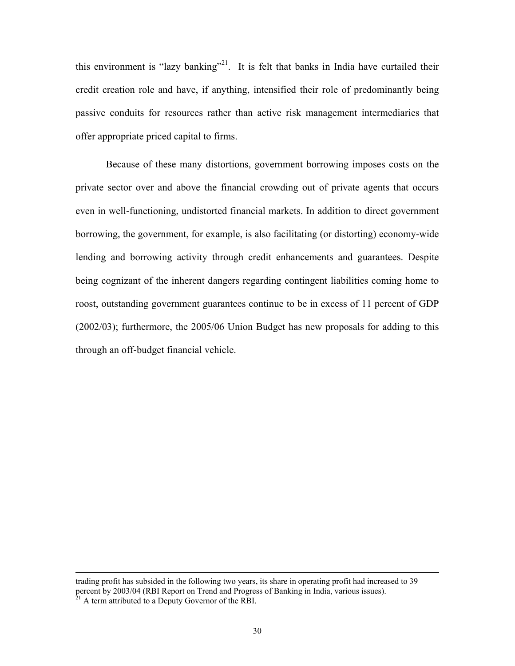this environment is "lazy banking"<sup>21</sup>. It is felt that banks in India have curtailed their credit creation role and have, if anything, intensified their role of predominantly being passive conduits for resources rather than active risk management intermediaries that offer appropriate priced capital to firms.

Because of these many distortions, government borrowing imposes costs on the private sector over and above the financial crowding out of private agents that occurs even in well-functioning, undistorted financial markets. In addition to direct government borrowing, the government, for example, is also facilitating (or distorting) economy-wide lending and borrowing activity through credit enhancements and guarantees. Despite being cognizant of the inherent dangers regarding contingent liabilities coming home to roost, outstanding government guarantees continue to be in excess of 11 percent of GDP (2002/03); furthermore, the 2005/06 Union Budget has new proposals for adding to this through an off-budget financial vehicle.

<span id="page-30-0"></span>trading profit has subsided in the following two years, its share in operating profit had increased to 39 percent by 2003/04 (RBI Report on Trend and Progress of Banking in India, various issues). 21 A term attributed to a Deputy Governor of the RBI.

l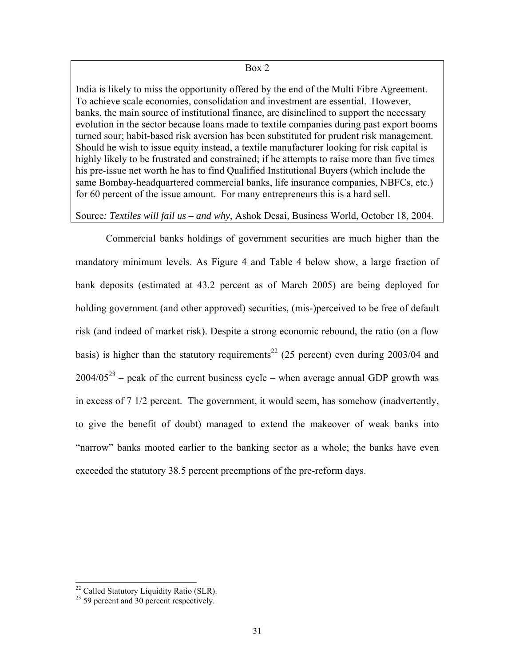#### Box 2

India is likely to miss the opportunity offered by the end of the Multi Fibre Agreement. To achieve scale economies, consolidation and investment are essential. However, banks, the main source of institutional finance, are disinclined to support the necessary evolution in the sector because loans made to textile companies during past export booms turned sour; habit-based risk aversion has been substituted for prudent risk management. Should he wish to issue equity instead, a textile manufacturer looking for risk capital is highly likely to be frustrated and constrained; if he attempts to raise more than five times his pre-issue net worth he has to find Qualified Institutional Buyers (which include the same Bombay-headquartered commercial banks, life insurance companies, NBFCs, etc.) for 60 percent of the issue amount. For many entrepreneurs this is a hard sell.

#### Source*: Textiles will fail us – and why*, Ashok Desai, Business World, October 18, 2004.

Commercial banks holdings of government securities are much higher than the mandatory minimum levels. As Figure 4 and Table 4 below show, a large fraction of bank deposits (estimated at 43.2 percent as of March 2005) are being deployed for holding government (and other approved) securities, (mis-)perceived to be free of default risk (and indeed of market risk). Despite a strong economic rebound, the ratio (on a flow basis) is higher than the statutory requirements<sup>22</sup> (25 percent) even during 2003/04 and  $2004/05^{23}$  – peak of the current business cycle – when average annual GDP growth was in excess of 7 1/2 percent. The government, it would seem, has somehow (inadvertently, to give the benefit of doubt) managed to extend the makeover of weak banks into "narrow" banks mooted earlier to the banking sector as a whole; the banks have even exceeded the statutory 38.5 percent preemptions of the pre-reform days.

<span id="page-31-0"></span><sup>&</sup>lt;sup>22</sup> Called Statutory Liquidity Ratio (SLR).<sup>23</sup> 59 percent and 30 percent respectively.

<span id="page-31-1"></span>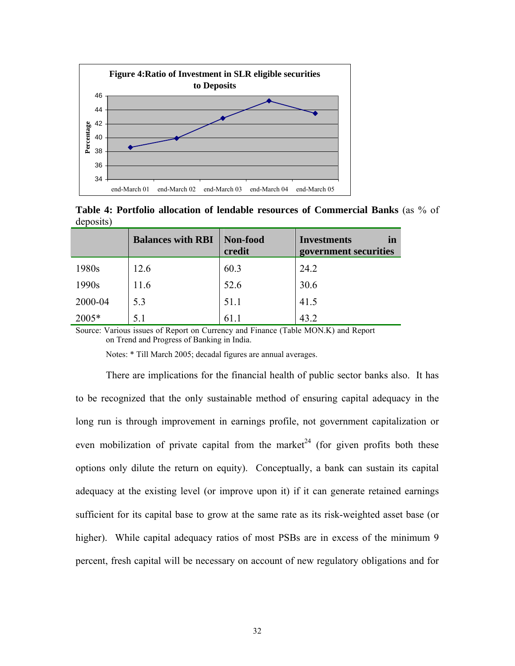

**Table 4: Portfolio allocation of lendable resources of Commercial Banks** (as % of deposits)

|         | <b>Balances with RBI</b> | Non-food<br>credit | <b>Investments</b><br>in<br>government securities |
|---------|--------------------------|--------------------|---------------------------------------------------|
| 1980s   | 12.6                     | 60.3               | 24.2                                              |
| 1990s   | 11.6                     | 52.6               | 30.6                                              |
| 2000-04 | 5.3                      | 51.1               | 41.5                                              |
| 2005*   | 5.1                      | 61.1               | 43.2                                              |

Source: Various issues of Report on Currency and Finance (Table MON.K) and Report on Trend and Progress of Banking in India.

Notes: \* Till March 2005; decadal figures are annual averages.

<span id="page-32-0"></span>There are implications for the financial health of public sector banks also. It has to be recognized that the only sustainable method of ensuring capital adequacy in the long run is through improvement in earnings profile, not government capitalization or even mobilization of private capital from the market<sup>24</sup> (for given profits both these options only dilute the return on equity). Conceptually, a bank can sustain its capital adequacy at the existing level (or improve upon it) if it can generate retained earnings sufficient for its capital base to grow at the same rate as its risk-weighted asset base (or higher). While capital adequacy ratios of most PSBs are in excess of the minimum 9 percent, fresh capital will be necessary on account of new regulatory obligations and for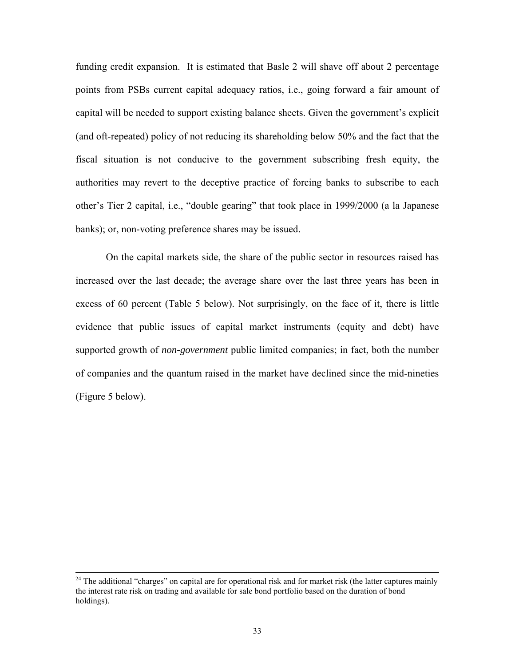funding credit expansion. It is estimated that Basle 2 will shave off about 2 percentage points from PSBs current capital adequacy ratios, i.e., going forward a fair amount of capital will be needed to support existing balance sheets. Given the government's explicit (and oft-repeated) policy of not reducing its shareholding below 50% and the fact that the fiscal situation is not conducive to the government subscribing fresh equity, the authorities may revert to the deceptive practice of forcing banks to subscribe to each other's Tier 2 capital, i.e., "double gearing" that took place in 1999/2000 (a la Japanese banks); or, non-voting preference shares may be issued.

On the capital markets side, the share of the public sector in resources raised has increased over the last decade; the average share over the last three years has been in excess of 60 percent (Table 5 below). Not surprisingly, on the face of it, there is little evidence that public issues of capital market instruments (equity and debt) have supported growth of *non-government* public limited companies; in fact, both the number of companies and the quantum raised in the market have declined since the mid-nineties (Figure 5 below).

 $^{24}$  The additional "charges" on capital are for operational risk and for market risk (the latter captures mainly the interest rate risk on trading and available for sale bond portfolio based on the duration of bond holdings).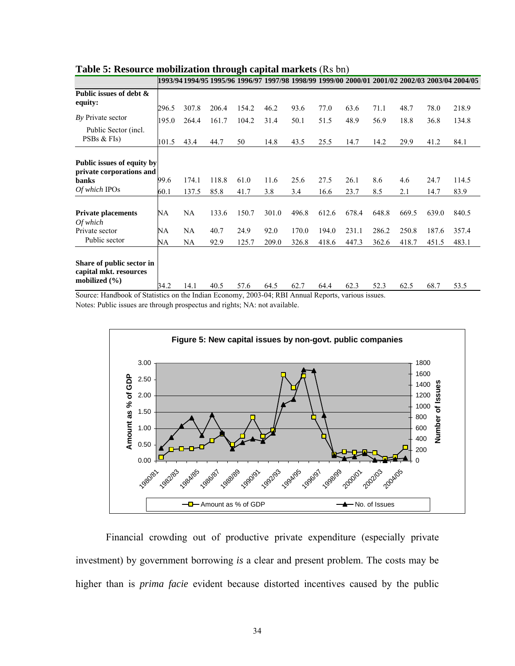|                                             |       | 1993/94 1994/95 1995/96 1996/97 1997/98 1998/99 1999/00 2000/01 2001/02 2002/03 2003/04 2004/05 |       |       |       |       |       |       |       |       |       |       |
|---------------------------------------------|-------|-------------------------------------------------------------------------------------------------|-------|-------|-------|-------|-------|-------|-------|-------|-------|-------|
| Public issues of debt &                     |       |                                                                                                 |       |       |       |       |       |       |       |       |       |       |
| equity:                                     | 296.5 | 307.8                                                                                           | 206.4 | 154.2 | 46.2  | 93.6  | 77.0  | 63.6  | 71.1  | 48.7  | 78.0  | 218.9 |
| By Private sector                           | 195.0 | 264.4                                                                                           | 161.7 | 104.2 | 31.4  | 50.1  | 51.5  | 48.9  | 56.9  | 18.8  | 36.8  | 134.8 |
| Public Sector (incl.                        |       |                                                                                                 |       |       |       |       |       |       |       |       |       |       |
| PSBs & FIs)                                 | 101.5 | 43.4                                                                                            | 44.7  | 50    | 14.8  | 43.5  | 25.5  | 14.7  | 14.2  | 29.9  | 41.2  | 84.1  |
|                                             |       |                                                                                                 |       |       |       |       |       |       |       |       |       |       |
| Public issues of equity by                  |       |                                                                                                 |       |       |       |       |       |       |       |       |       |       |
| private corporations and<br>banks           | 99.6  | 174.1                                                                                           | 118.8 | 61.0  | 11.6  | 25.6  | 27.5  | 26.1  | 8.6   | 4.6   | 24.7  | 114.5 |
| Of which IPOs                               | 60.1  | 137.5                                                                                           | 85.8  | 41.7  | 3.8   | 3.4   | 16.6  | 23.7  | 8.5   | 2.1   | 14.7  | 83.9  |
|                                             |       |                                                                                                 |       |       |       |       |       |       |       |       |       |       |
| <b>Private placements</b>                   | NA    | NA                                                                                              | 133.6 | 150.7 | 301.0 | 496.8 | 612.6 | 678.4 | 648.8 | 669.5 | 639.0 | 840.5 |
| Of which<br>Private sector                  | NA    | NA                                                                                              | 40.7  | 24.9  | 92.0  | 170.0 | 194.0 | 231.1 | 286.2 | 250.8 | 187.6 | 357.4 |
| Public sector                               | NA    | NA                                                                                              | 92.9  | 125.7 | 209.0 | 326.8 | 418.6 | 447.3 | 362.6 | 418.7 | 451.5 | 483.1 |
|                                             |       |                                                                                                 |       |       |       |       |       |       |       |       |       |       |
| Share of public sector in                   |       |                                                                                                 |       |       |       |       |       |       |       |       |       |       |
| capital mkt. resources<br>mobilized $(\% )$ |       |                                                                                                 |       |       |       |       |       |       |       |       |       |       |
| $\sim$ $\sim$                               | 34.2  | 14.1                                                                                            | 40.5  | 57.6  | 64.5  | 62.7  | 64.4  | 62.3  | 52.3  | 62.5  | 68.7  | 53.5  |

#### **Table 5: Resource mobilization through capital markets** (Rs bn)

Source: Handbook of Statistics on the Indian Economy, 2003-04; RBI Annual Reports, various issues. Notes: Public issues are through prospectus and rights; NA: not available.



Financial crowding out of productive private expenditure (especially private investment) by government borrowing *is* a clear and present problem. The costs may be higher than is *prima facie* evident because distorted incentives caused by the public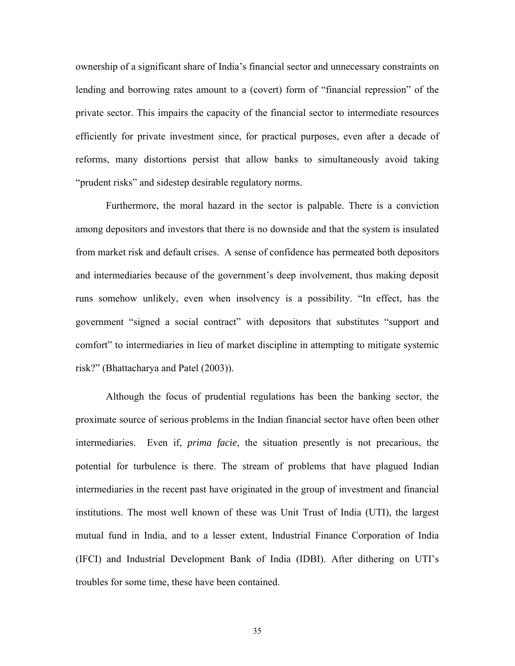ownership of a significant share of India's financial sector and unnecessary constraints on lending and borrowing rates amount to a (covert) form of "financial repression" of the private sector. This impairs the capacity of the financial sector to intermediate resources efficiently for private investment since, for practical purposes, even after a decade of reforms, many distortions persist that allow banks to simultaneously avoid taking "prudent risks" and sidestep desirable regulatory norms.

Furthermore, the moral hazard in the sector is palpable. There is a conviction among depositors and investors that there is no downside and that the system is insulated from market risk and default crises. A sense of confidence has permeated both depositors and intermediaries because of the government's deep involvement, thus making deposit runs somehow unlikely, even when insolvency is a possibility. "In effect, has the government "signed a social contract" with depositors that substitutes "support and comfort" to intermediaries in lieu of market discipline in attempting to mitigate systemic risk?" (Bhattacharya and Patel (2003)).

Although the focus of prudential regulations has been the banking sector, the proximate source of serious problems in the Indian financial sector have often been other intermediaries. Even if, *prima facie*, the situation presently is not precarious, the potential for turbulence is there. The stream of problems that have plagued Indian intermediaries in the recent past have originated in the group of investment and financial institutions. The most well known of these was Unit Trust of India (UTI), the largest mutual fund in India, and to a lesser extent, Industrial Finance Corporation of India (IFCI) and Industrial Development Bank of India (IDBI). After dithering on UTI's troubles for some time, these have been contained.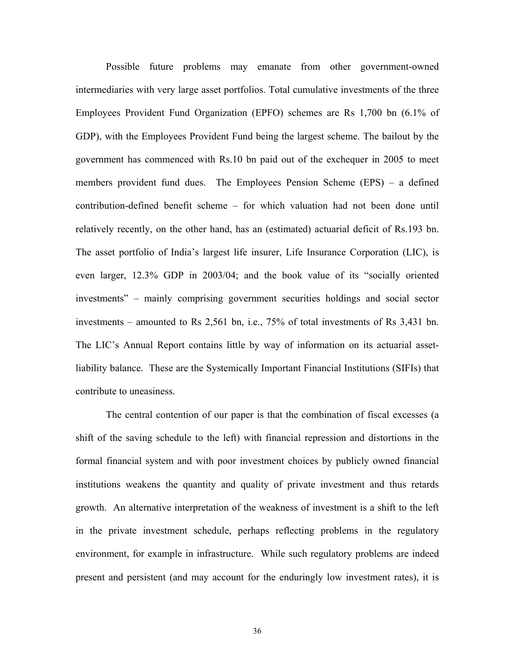Possible future problems may emanate from other government-owned intermediaries with very large asset portfolios. Total cumulative investments of the three Employees Provident Fund Organization (EPFO) schemes are Rs 1,700 bn (6.1% of GDP), with the Employees Provident Fund being the largest scheme. The bailout by the government has commenced with Rs.10 bn paid out of the exchequer in 2005 to meet members provident fund dues. The Employees Pension Scheme (EPS) – a defined contribution-defined benefit scheme – for which valuation had not been done until relatively recently, on the other hand, has an (estimated) actuarial deficit of Rs.193 bn. The asset portfolio of India's largest life insurer, Life Insurance Corporation (LIC), is even larger, 12.3% GDP in 2003/04; and the book value of its "socially oriented investments" – mainly comprising government securities holdings and social sector investments – amounted to Rs 2,561 bn, i.e., 75% of total investments of Rs 3,431 bn. The LIC's Annual Report contains little by way of information on its actuarial assetliability balance. These are the Systemically Important Financial Institutions (SIFIs) that contribute to uneasiness.

The central contention of our paper is that the combination of fiscal excesses (a shift of the saving schedule to the left) with financial repression and distortions in the formal financial system and with poor investment choices by publicly owned financial institutions weakens the quantity and quality of private investment and thus retards growth. An alternative interpretation of the weakness of investment is a shift to the left in the private investment schedule, perhaps reflecting problems in the regulatory environment, for example in infrastructure. While such regulatory problems are indeed present and persistent (and may account for the enduringly low investment rates), it is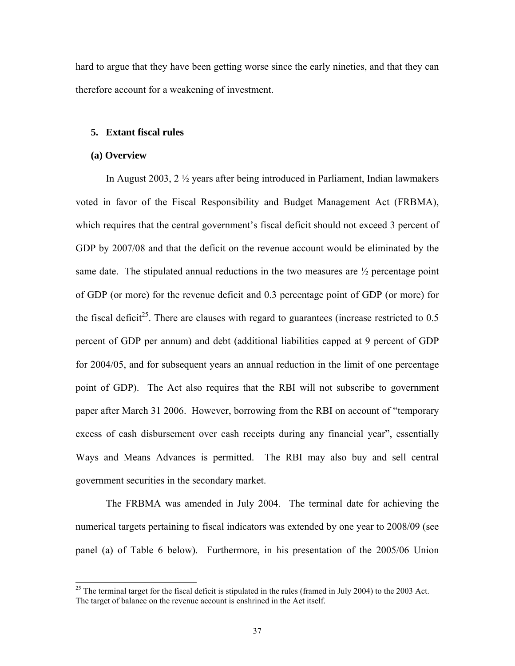hard to argue that they have been getting worse since the early nineties, and that they can therefore account for a weakening of investment.

#### **5. Extant fiscal rules**

#### **(a) Overview**

In August 2003, 2 ½ years after being introduced in Parliament, Indian lawmakers voted in favor of the Fiscal Responsibility and Budget Management Act (FRBMA), which requires that the central government's fiscal deficit should not exceed 3 percent of GDP by 2007/08 and that the deficit on the revenue account would be eliminated by the same date. The stipulated annual reductions in the two measures are  $\frac{1}{2}$  percentage point of GDP (or more) for the revenue deficit and 0.3 percentage point of GDP (or more) for the fiscal deficit<sup>25</sup>. There are clauses with regard to guarantees (increase restricted to  $0.5$ ) percent of GDP per annum) and debt (additional liabilities capped at 9 percent of GDP for 2004/05, and for subsequent years an annual reduction in the limit of one percentage point of GDP). The Act also requires that the RBI will not subscribe to government paper after March 31 2006. However, borrowing from the RBI on account of "temporary excess of cash disbursement over cash receipts during any financial year", essentially Ways and Means Advances is permitted. The RBI may also buy and sell central government securities in the secondary market.

The FRBMA was amended in July 2004. The terminal date for achieving the numerical targets pertaining to fiscal indicators was extended by one year to 2008/09 (see panel (a) of Table 6 below). Furthermore, in his presentation of the 2005/06 Union

<span id="page-37-0"></span><sup>&</sup>lt;sup>25</sup> The terminal target for the fiscal deficit is stipulated in the rules (framed in July 2004) to the 2003 Act. The target of balance on the revenue account is enshrined in the Act itself.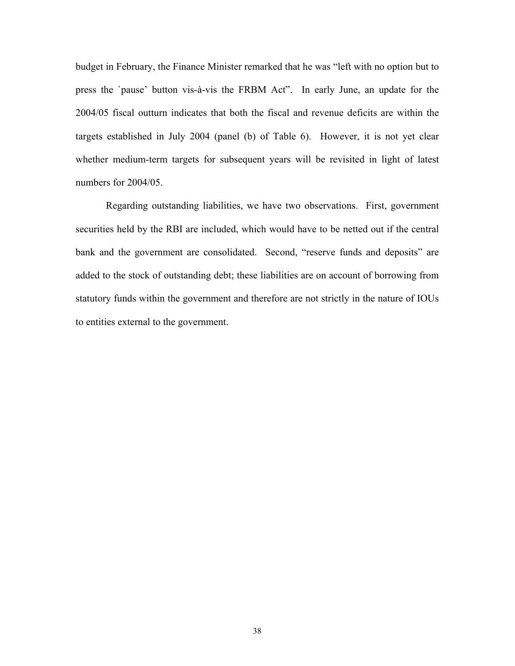budget in February, the Finance Minister remarked that he was "left with no option but to press the `pause' button vis-à-vis the FRBM Act". In early June, an update for the 2004/05 fiscal outturn indicates that both the fiscal and revenue deficits are within the targets established in July 2004 (panel (b) of Table 6). However, it is not yet clear whether medium-term targets for subsequent years will be revisited in light of latest numbers for 2004/05.

Regarding outstanding liabilities, we have two observations. First, government securities held by the RBI are included, which would have to be netted out if the central bank and the government are consolidated. Second, "reserve funds and deposits" are added to the stock of outstanding debt; these liabilities are on account of borrowing from statutory funds within the government and therefore are not strictly in the nature of IOUs to entities external to the government.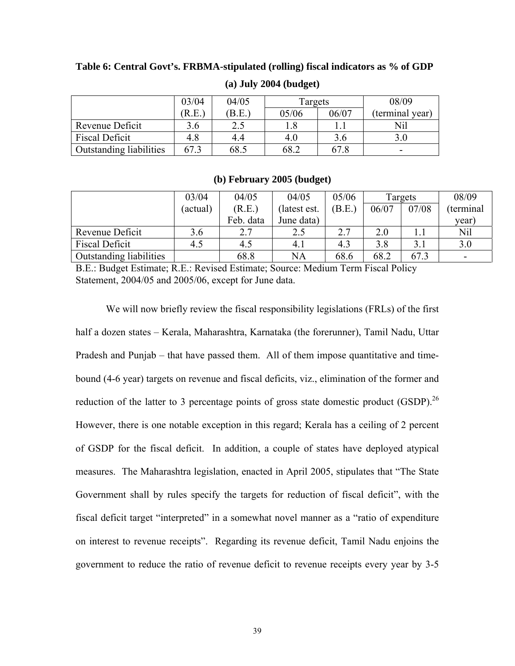## **Table 6: Central Govt's. FRBMA-stipulated (rolling) fiscal indicators as % of GDP**

|                         | 04/05<br>03/04<br>Targets |      | 08/09 |       |                          |
|-------------------------|---------------------------|------|-------|-------|--------------------------|
|                         | R.E.                      | B.E. | 05/06 | 06/07 | (terminal year)          |
| Revenue Deficit         | 3.6                       |      |       |       | Nil                      |
| <b>Fiscal Deficit</b>   | 4.8                       | 4.4  | 4.0   | 3.6   |                          |
| Outstanding liabilities | 67.3                      | 68.5 | 68.2  | 67.8  | $\overline{\phantom{0}}$ |

# **(a) July 2004 (budget)**

#### **(b) February 2005 (budget)**

|                                | 03/04              | 04/05     | 04/05        | 05/06 | Targets |       | 08/09     |
|--------------------------------|--------------------|-----------|--------------|-------|---------|-------|-----------|
|                                | (R.E.)<br>(actual) |           | (latest est. | B.E.  | 06/07   | 07/08 | terminal) |
|                                |                    | Feb. data | June data)   |       |         |       | vear      |
| Revenue Deficit                | 3.6                | 2.7       | 2.5          | 2.7   | 2.0     |       | Nil       |
| <b>Fiscal Deficit</b>          | 4.5                | 4.5       | 4.1          | 4.3   | 3.8     |       | 3.0       |
| <b>Outstanding liabilities</b> |                    | 68.8      | NA           | 68.6  | 68.2    | 67.3  | -         |

B.E.: Budget Estimate; R.E.: Revised Estimate; Source: Medium Term Fiscal Policy Statement, 2004/05 and 2005/06, except for June data.

<span id="page-39-0"></span>We will now briefly review the fiscal responsibility legislations (FRLs) of the first half a dozen states – Kerala, Maharashtra, Karnataka (the forerunner), Tamil Nadu, Uttar Pradesh and Punjab – that have passed them. All of them impose quantitative and timebound (4-6 year) targets on revenue and fiscal deficits, viz., elimination of the former and reduction of the latter to 3 percentage points of gross state domestic product (GSDP).<sup>26</sup> However, there is one notable exception in this regard; Kerala has a ceiling of 2 percent of GSDP for the fiscal deficit. In addition, a couple of states have deployed atypical measures. The Maharashtra legislation, enacted in April 2005, stipulates that "The State Government shall by rules specify the targets for reduction of fiscal deficit", with the fiscal deficit target "interpreted" in a somewhat novel manner as a "ratio of expenditure on interest to revenue receipts". Regarding its revenue deficit, Tamil Nadu enjoins the government to reduce the ratio of revenue deficit to revenue receipts every year by 3-5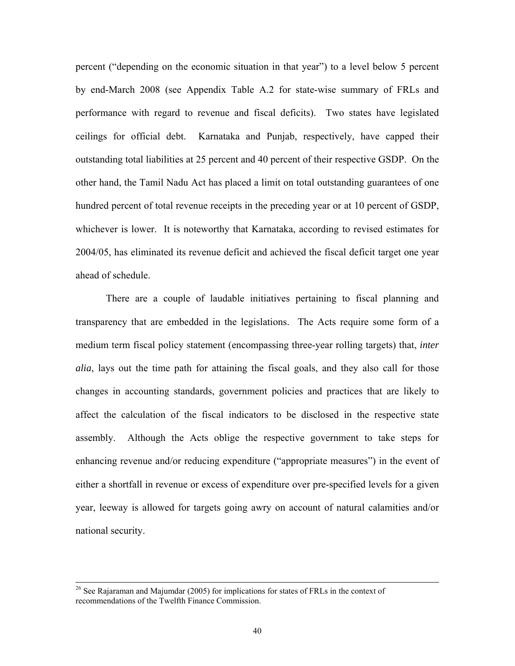percent ("depending on the economic situation in that year") to a level below 5 percent by end-March 2008 (see Appendix Table A.2 for state-wise summary of FRLs and performance with regard to revenue and fiscal deficits). Two states have legislated ceilings for official debt. Karnataka and Punjab, respectively, have capped their outstanding total liabilities at 25 percent and 40 percent of their respective GSDP. On the other hand, the Tamil Nadu Act has placed a limit on total outstanding guarantees of one hundred percent of total revenue receipts in the preceding year or at 10 percent of GSDP, whichever is lower. It is noteworthy that Karnataka, according to revised estimates for 2004/05, has eliminated its revenue deficit and achieved the fiscal deficit target one year ahead of schedule.

There are a couple of laudable initiatives pertaining to fiscal planning and transparency that are embedded in the legislations. The Acts require some form of a medium term fiscal policy statement (encompassing three-year rolling targets) that, *inter alia*, lays out the time path for attaining the fiscal goals, and they also call for those changes in accounting standards, government policies and practices that are likely to affect the calculation of the fiscal indicators to be disclosed in the respective state assembly. Although the Acts oblige the respective government to take steps for enhancing revenue and/or reducing expenditure ("appropriate measures") in the event of either a shortfall in revenue or excess of expenditure over pre-specified levels for a given year, leeway is allowed for targets going awry on account of natural calamities and/or national security.

<sup>&</sup>lt;sup>26</sup> See Rajaraman and Majumdar (2005) for implications for states of FRLs in the context of recommendations of the Twelfth Finance Commission.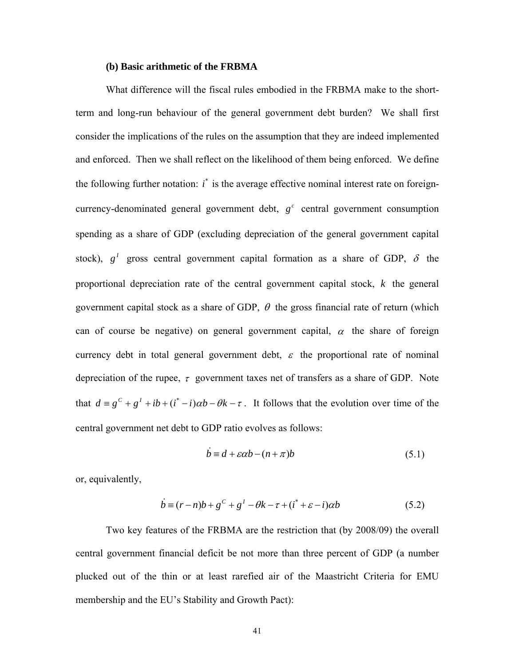#### **(b) Basic arithmetic of the FRBMA**

What difference will the fiscal rules embodied in the FRBMA make to the shortterm and long-run behaviour of the general government debt burden? We shall first consider the implications of the rules on the assumption that they are indeed implemented and enforced. Then we shall reflect on the likelihood of them being enforced. We define the following further notation:  $i^*$  is the average effective nominal interest rate on foreigncurrency-denominated general government debt,  $g^c$  central government consumption spending as a share of GDP (excluding depreciation of the general government capital stock),  $g^I$  gross central government capital formation as a share of GDP,  $\delta$  the proportional depreciation rate of the central government capital stock, *k* the general government capital stock as a share of GDP,  $\theta$  the gross financial rate of return (which can of course be negative) on general government capital,  $\alpha$  the share of foreign currency debt in total general government debt,  $\varepsilon$  the proportional rate of nominal depreciation of the rupee,  $\tau$  government taxes net of transfers as a share of GDP. Note that  $d = g^c + g^1 + ib + (i^* - i)\alpha b - \theta k - \tau$ . It follows that the evolution over time of the central government net debt to GDP ratio evolves as follows:

$$
\dot{b} \equiv d + \varepsilon \alpha b - (n + \pi)b \tag{5.1}
$$

or, equivalently,

$$
\dot{b} \equiv (r-n)b + g^c + g^l - \theta k - \tau + (i^* + \varepsilon - i)\alpha b \tag{5.2}
$$

Two key features of the FRBMA are the restriction that (by 2008/09) the overall central government financial deficit be not more than three percent of GDP (a number plucked out of the thin or at least rarefied air of the Maastricht Criteria for EMU membership and the EU's Stability and Growth Pact):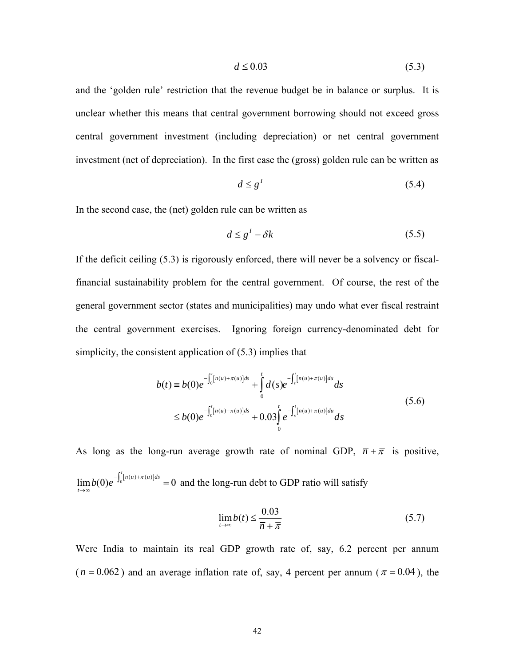$$
d \le 0.03\tag{5.3}
$$

and the 'golden rule' restriction that the revenue budget be in balance or surplus. It is unclear whether this means that central government borrowing should not exceed gross central government investment (including depreciation) or net central government investment (net of depreciation). In the first case the (gross) golden rule can be written as

$$
d \le g^1 \tag{5.4}
$$

In the second case, the (net) golden rule can be written as

$$
d \le g^1 - \delta k \tag{5.5}
$$

If the deficit ceiling (5.3) is rigorously enforced, there will never be a solvency or fiscalfinancial sustainability problem for the central government. Of course, the rest of the general government sector (states and municipalities) may undo what ever fiscal restraint the central government exercises. Ignoring foreign currency-denominated debt for simplicity, the consistent application of (5.3) implies that

$$
b(t) = b(0)e^{-\int_0^t [n(u) + \pi(u)]ds} + \int_0^t d(s)e^{-\int_s^t [n(u) + \pi(u)]du} ds
$$
  
\n
$$
\leq b(0)e^{-\int_0^t [n(u) + \pi(u)]ds} + 0.03\int_0^t e^{-\int_s^t [n(u) + \pi(u)]du} ds
$$
\n(5.6)

As long as the long-run average growth rate of nominal GDP,  $\overline{n} + \overline{\pi}$  is positive,  $\lim b(0)e^{-\int_0 [n(u)+\pi(u)]ds} = 0$  and the long-run debt to GDP ratio will satisfy  $b(0)e^{-\int_0^t [n(u)+\pi(u)]ds} =$ *t* →∞

$$
\lim_{t \to \infty} b(t) \le \frac{0.03}{\overline{n} + \overline{\pi}}
$$
\n(5.7)

Were India to maintain its real GDP growth rate of, say, 6.2 percent per annum  $(\bar{n} = 0.062)$  and an average inflation rate of, say, 4 percent per annum ( $\bar{\pi} = 0.04$ ), the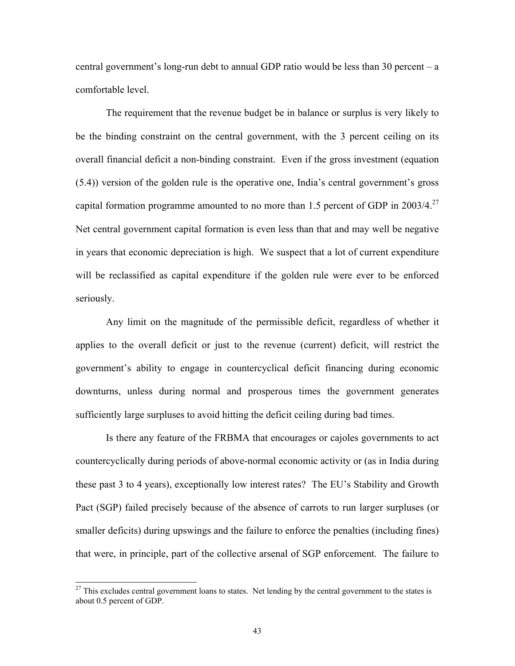central government's long-run debt to annual GDP ratio would be less than 30 percent – a comfortable level.

The requirement that the revenue budget be in balance or surplus is very likely to be the binding constraint on the central government, with the 3 percent ceiling on its overall financial deficit a non-binding constraint. Even if the gross investment (equation (5.4)) version of the golden rule is the operative one, India's central government's gross capital formation programme amounted to no more than 1.5 percent of GDP in  $2003/4$ <sup>27</sup> Net central government capital formation is even less than that and may well be negative in years that economic depreciation is high. We suspect that a lot of current expenditu[re](#page-43-0) will be reclassified as capital expenditure if the golden rule were ever to be enforced seriously.

Any limit on the magnitude of the permissible deficit, regardless of whether it applies to the overall deficit or just to the revenue (current) deficit, will restrict the government's ability to engage in countercyclical deficit financing during economic downturns, unless during normal and prosperous times the government generates sufficiently large surpluses to avoid hitting the deficit ceiling during bad times.

Is there any feature of the FRBMA that encourages or cajoles governments to act countercyclically during periods of above-normal economic activity or (as in India during these past 3 to 4 years), exceptionally low interest rates? The EU's Stability and Growth Pact (SGP) failed precisely because of the absence of carrots to run larger surpluses (or smaller deficits) during upswings and the failure to enforce the penalties (including fines) that were, in principle, part of the collective arsenal of SGP enforcement. The failure to

<span id="page-43-0"></span><sup>&</sup>lt;sup>27</sup> This excludes central government loans to states. Net lending by the central government to the states is about 0.5 percent of GDP.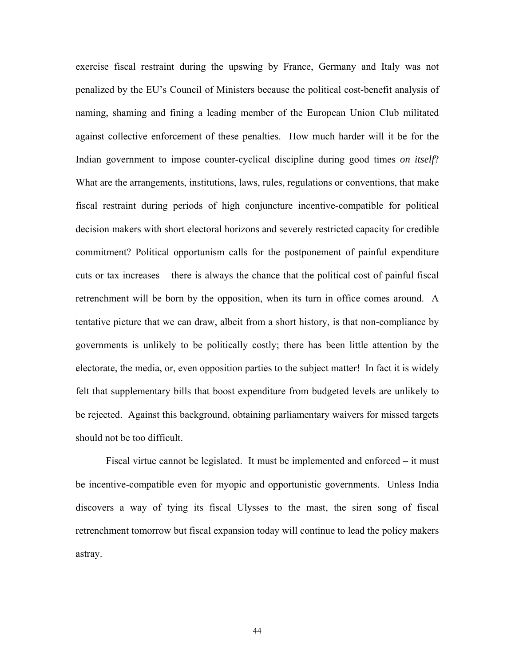exercise fiscal restraint during the upswing by France, Germany and Italy was not penalized by the EU's Council of Ministers because the political cost-benefit analysis of naming, shaming and fining a leading member of the European Union Club militated against collective enforcement of these penalties. How much harder will it be for the Indian government to impose counter-cyclical discipline during good times *on itself*? What are the arrangements, institutions, laws, rules, regulations or conventions, that make fiscal restraint during periods of high conjuncture incentive-compatible for political decision makers with short electoral horizons and severely restricted capacity for credible commitment? Political opportunism calls for the postponement of painful expenditure cuts or tax increases – there is always the chance that the political cost of painful fiscal retrenchment will be born by the opposition, when its turn in office comes around. A tentative picture that we can draw, albeit from a short history, is that non-compliance by governments is unlikely to be politically costly; there has been little attention by the electorate, the media, or, even opposition parties to the subject matter! In fact it is widely felt that supplementary bills that boost expenditure from budgeted levels are unlikely to be rejected. Against this background, obtaining parliamentary waivers for missed targets should not be too difficult.

Fiscal virtue cannot be legislated. It must be implemented and enforced – it must be incentive-compatible even for myopic and opportunistic governments. Unless India discovers a way of tying its fiscal Ulysses to the mast, the siren song of fiscal retrenchment tomorrow but fiscal expansion today will continue to lead the policy makers astray.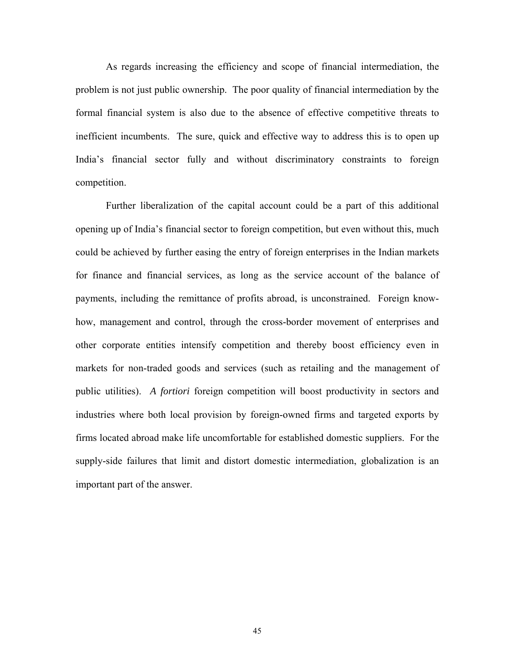As regards increasing the efficiency and scope of financial intermediation, the problem is not just public ownership. The poor quality of financial intermediation by the formal financial system is also due to the absence of effective competitive threats to inefficient incumbents. The sure, quick and effective way to address this is to open up India's financial sector fully and without discriminatory constraints to foreign competition.

Further liberalization of the capital account could be a part of this additional opening up of India's financial sector to foreign competition, but even without this, much could be achieved by further easing the entry of foreign enterprises in the Indian markets for finance and financial services, as long as the service account of the balance of payments, including the remittance of profits abroad, is unconstrained. Foreign knowhow, management and control, through the cross-border movement of enterprises and other corporate entities intensify competition and thereby boost efficiency even in markets for non-traded goods and services (such as retailing and the management of public utilities). *A fortiori* foreign competition will boost productivity in sectors and industries where both local provision by foreign-owned firms and targeted exports by firms located abroad make life uncomfortable for established domestic suppliers. For the supply-side failures that limit and distort domestic intermediation, globalization is an important part of the answer.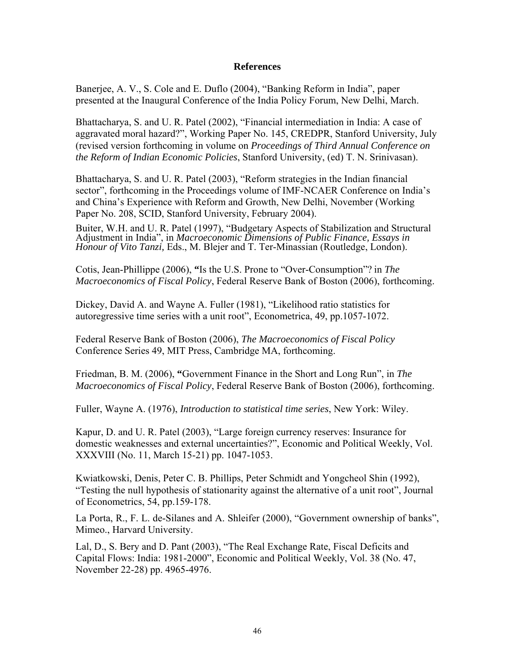#### **References**

Banerjee, A. V., S. Cole and E. Duflo (2004), "Banking Reform in India", paper presented at the Inaugural Conference of the India Policy Forum, New Delhi, March.

Bhattacharya, S. and U. R. Patel (2002), "Financial intermediation in India: A case of aggravated moral hazard?", Working Paper No. 145, CREDPR, Stanford University, July (revised version forthcoming in volume on *Proceedings of Third Annual Conference on the Reform of Indian Economic Policies*, Stanford University, (ed) T. N. Srinivasan).

Bhattacharya, S. and U. R. Patel (2003), "Reform strategies in the Indian financial sector", forthcoming in the Proceedings volume of IMF-NCAER Conference on India's and China's Experience with Reform and Growth, New Delhi, November (Working Paper No. 208, SCID, Stanford University, February 2004).

Buiter, W.H. and U. R. Patel (1997), "Budgetary Aspects of Stabilization and Structural Adjustment in India", in *Macroeconomic Dimensions of Public Finance, Essays in Honour of Vito Tanzi,* Eds., M. Blejer and T. Ter-Minassian (Routledge, London).

Cotis, Jean-Phillippe (2006), **"**Is the U.S. Prone to "Over-Consumption"? in *The Macroeconomics of Fiscal Policy*, Federal Reserve Bank of Boston (2006), forthcoming.

Dickey, David A. and Wayne A. Fuller (1981), "Likelihood ratio statistics for autoregressive time series with a unit root", Econometrica, 49, pp.1057-1072.

Federal Reserve Bank of Boston (2006), *The Macroeconomics of Fiscal Policy* Conference Series 49, MIT Press, Cambridge MA, forthcoming.

Friedman, B. M. (2006), **"**Government Finance in the Short and Long Run", in *The Macroeconomics of Fiscal Policy*, Federal Reserve Bank of Boston (2006), forthcoming.

Fuller, Wayne A. (1976), *Introduction to statistical time series*, New York: Wiley.

Kapur, D. and U. R. Patel (2003), "Large foreign currency reserves: Insurance for domestic weaknesses and external uncertainties?", Economic and Political Weekly, Vol. XXXVIII (No. 11, March 15-21) pp. 1047-1053.

Kwiatkowski, Denis, Peter C. B. Phillips, Peter Schmidt and Yongcheol Shin (1992), "Testing the null hypothesis of stationarity against the alternative of a unit root", Journal of Econometrics, 54, pp.159-178.

La Porta, R., F. L. de-Silanes and A. Shleifer (2000), "Government ownership of banks", Mimeo., Harvard University.

Lal, D., S. Bery and D. Pant (2003), "The Real Exchange Rate, Fiscal Deficits and Capital Flows: India: 1981-2000", Economic and Political Weekly, Vol. 38 (No. 47, November 22-28) pp. 4965-4976.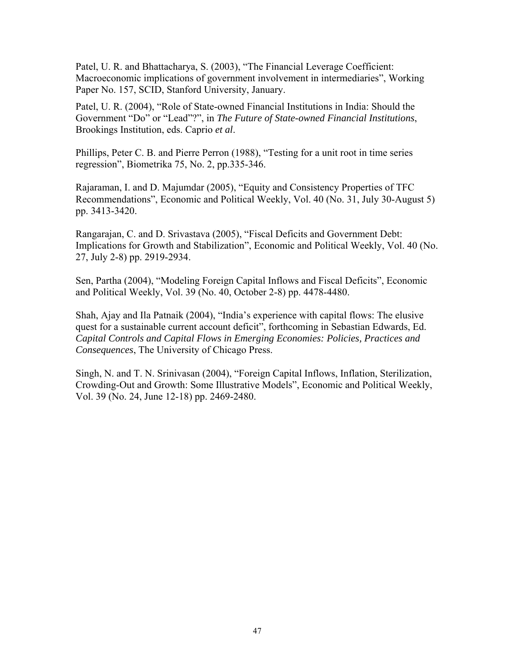Patel, U. R. and Bhattacharya, S. (2003), "The Financial Leverage Coefficient: Macroeconomic implications of government involvement in intermediaries", Working Paper No. 157, SCID, Stanford University, January.

Patel, U. R. (2004), "Role of State-owned Financial Institutions in India: Should the Government "Do" or "Lead"?", in *The Future of State-owned Financial Institutions*, Brookings Institution, eds. Caprio *et al*.

Phillips, Peter C. B. and Pierre Perron (1988), "Testing for a unit root in time series regression", Biometrika 75, No. 2, pp.335-346.

Rajaraman, I. and D. Majumdar (2005), "Equity and Consistency Properties of TFC Recommendations", Economic and Political Weekly, Vol. 40 (No. 31, July 30-August 5) pp. 3413-3420.

Rangarajan, C. and D. Srivastava (2005), "Fiscal Deficits and Government Debt: Implications for Growth and Stabilization", Economic and Political Weekly, Vol. 40 (No. 27, July 2-8) pp. 2919-2934.

Sen, Partha (2004), "Modeling Foreign Capital Inflows and Fiscal Deficits", Economic and Political Weekly, Vol. 39 (No. 40, October 2-8) pp. 4478-4480.

Shah, Ajay and Ila Patnaik (2004), "India's experience with capital flows: The elusive quest for a sustainable current account deficit", forthcoming in Sebastian Edwards, Ed. *Capital Controls and Capital Flows in Emerging Economies: Policies, Practices and Consequences*, The University of Chicago Press.

Singh, N. and T. N. Srinivasan (2004), "Foreign Capital Inflows, Inflation, Sterilization, Crowding-Out and Growth: Some Illustrative Models", Economic and Political Weekly, Vol. 39 (No. 24, June 12-18) pp. 2469-2480.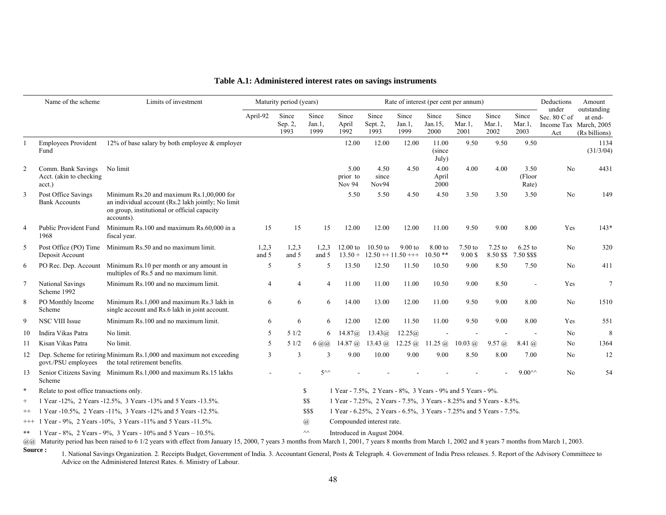|                | Name of the scheme                                            | Limits of investment                                                                                                                                          |                                            | Maturity period (years)                                           |                               | Rate of interest (per cent per annum)                               |                                                                     |                            |                          |                            |                            |                            | Deductions<br>Amount                                             |                                         |
|----------------|---------------------------------------------------------------|---------------------------------------------------------------------------------------------------------------------------------------------------------------|--------------------------------------------|-------------------------------------------------------------------|-------------------------------|---------------------------------------------------------------------|---------------------------------------------------------------------|----------------------------|--------------------------|----------------------------|----------------------------|----------------------------|------------------------------------------------------------------|-----------------------------------------|
|                |                                                               |                                                                                                                                                               | April-92                                   | Since<br>Sep. 2,<br>1993                                          | Since<br>$Jan.1$ ,<br>1999    | Since<br>April<br>1992                                              | Since<br>Sept. 2,<br>1993                                           | Since<br>$Jan.1$ ,<br>1999 | Since<br>Jan.15,<br>2000 | Since<br>$Mar.1$ .<br>2001 | Since<br>$Mar.1$ ,<br>2002 | Since<br>$Mar.1$ ,<br>2003 | under<br>Sec. $80 \text{ C of}$<br>Income Tax March, 2005<br>Act | outstanding<br>at end-<br>(Rs billions) |
|                | <b>Employees Provident</b><br>Fund                            | 12% of base salary by both employee $\&$ employer                                                                                                             |                                            |                                                                   |                               | 12.00                                                               | 12.00                                                               | 12.00                      | 11.00<br>(since<br>July) | 9.50                       | 9.50                       | 9.50                       |                                                                  | 1134<br>(31/3/04)                       |
| $\overline{2}$ | Comm. Bank Savings<br>Acct. (akin to checking<br>acct.)       | No limit                                                                                                                                                      |                                            |                                                                   |                               | 5.00<br>prior to<br><b>Nov 94</b>                                   | 4.50<br>since<br>Nov94                                              | 4.50                       | 4.00<br>April<br>2000    | 4.00                       | 4.00                       | 3.50<br>(Floor<br>Rate)    | N <sub>0</sub>                                                   | 4431                                    |
| 3              | Post Office Savings<br><b>Bank Accounts</b>                   | Minimum Rs.20 and maximum Rs.1,00,000 for<br>an individual account (Rs.2 lakh jointly; No limit<br>on group, institutional or official capacity<br>accounts). |                                            |                                                                   |                               | 5.50                                                                | 5.50                                                                | 4.50                       | 4.50                     | 3.50                       | 3.50                       | 3.50                       | No                                                               | 149                                     |
| 4              | Public Provident Fund<br>1968                                 | Minimum Rs.100 and maximum Rs.60,000 in a<br>fiscal year.                                                                                                     | 15                                         | 15                                                                | 15                            | 12.00                                                               | 12.00                                                               | 12.00                      | 11.00                    | 9.50                       | 9.00                       | 8.00                       | Yes                                                              | $143*$                                  |
| 5              | Post Office (PO) Time<br>Deposit Account                      | Minimum Rs.50 and no maximum limit.                                                                                                                           | 1,2,3<br>and 5                             | 1,2,3<br>and 5                                                    | 1,2,3<br>and 5                | $12.00$ to<br>$13.50 +$                                             | $10.50$ to<br>$12.50 + 11.50 + + +$                                 | $9.00$ to                  | 8.00 to<br>$10.50**$     | 7.50 to<br>$9.00$ \$       | 7.25 to<br>8.50 \$\$       | $6.25$ to<br>7.50 \$\$\$   | No                                                               | 320                                     |
| 6              | PO Rec. Dep. Account                                          | Minimum Rs.10 per month or any amount in<br>multiples of Rs.5 and no maximum limit.                                                                           | 5                                          | 5                                                                 | 5                             | 13.50                                                               | 12.50                                                               | 11.50                      | 10.50                    | 9.00                       | 8.50                       | 7.50                       | No                                                               | 411                                     |
| $\overline{7}$ | National Savings<br>Scheme 1992                               | Minimum Rs.100 and no maximum limit.                                                                                                                          | 4                                          | $\overline{4}$                                                    | $\overline{4}$                | 11.00                                                               | 11.00                                                               | 11.00                      | 10.50                    | 9.00                       | 8.50                       |                            | Yes                                                              | $\overline{7}$                          |
| 8              | PO Monthly Income<br>Scheme                                   | Minimum Rs.1,000 and maximum Rs.3 lakh in<br>single account and Rs.6 lakh in joint account.                                                                   | 6                                          | 6                                                                 | 6                             | 14.00                                                               | 13.00                                                               | 12.00                      | 11.00                    | 9.50                       | 9.00                       | 8.00                       | No                                                               | 1510                                    |
| 9              | <b>NSC VIII Issue</b>                                         | Minimum Rs.100 and no maximum limit.                                                                                                                          | 6                                          | 6                                                                 | 6                             | 12.00                                                               | 12.00                                                               | 11.50                      | 11.00                    | 9.50                       | 9.00                       | 8.00                       | Yes                                                              | 551                                     |
| 10             | Indira Vikas Patra                                            | No limit.                                                                                                                                                     | 5                                          | 51/2                                                              | 6                             | 14.87@                                                              | 13.43(a)                                                            | 12.25@                     |                          |                            |                            |                            | No                                                               | 8                                       |
| 11             | Kisan Vikas Patra                                             | No limit.                                                                                                                                                     | 5                                          | 51/2                                                              | $6 \overline{a} \overline{a}$ | 14.87 $@$                                                           | 13.43 $@$                                                           | 12.25 $@$                  | $11.25 \; (\omega)$      | $10.03 \; (\omega)$        | 9.57@                      | 8.41 @                     | No                                                               | 1364                                    |
| 12             | govt./PSU employees                                           | Dep. Scheme for retiring Minimum Rs.1,000 and maximum not exceeding<br>the total retirement benefits.                                                         | 3                                          | 3                                                                 | $\mathbf{3}$                  | 9.00                                                                | 10.00                                                               | 9.00                       | 9.00                     | 8.50                       | 8.00                       | 7.00                       | No                                                               | 12                                      |
| 13             | Scheme                                                        | Senior Citizens Saving Minimum Rs.1,000 and maximum Rs.15 lakhs                                                                                               |                                            |                                                                   | $5^{\wedge\wedge}$            |                                                                     |                                                                     |                            |                          |                            |                            | $9.00^{\wedge\wedge}$      | No                                                               | 54                                      |
| $\ast$         | Relate to post office transactions only.                      |                                                                                                                                                               |                                            | \$<br>1 Year - 7.5%, 2 Years - 8%, 3 Years - 9% and 5 Years - 9%. |                               |                                                                     |                                                                     |                            |                          |                            |                            |                            |                                                                  |                                         |
| $^{+}$         | 1 Year -12%, 2 Years -12.5%, 3 Years -13% and 5 Years -13.5%. |                                                                                                                                                               |                                            | \$\$                                                              |                               | 1 Year - 7.25%, 2 Years - 7.5%, 3 Years - 8.25% and 5 Years - 8.5%. |                                                                     |                            |                          |                            |                            |                            |                                                                  |                                         |
| $++$           |                                                               | 1 Year -10.5%, 2 Years -11%, 3 Years -12% and 5 Years -12.5%.                                                                                                 |                                            |                                                                   | \$\$\$                        |                                                                     | 1 Year - 6.25%, 2 Years - 6.5%, 3 Years - 7.25% and 5 Years - 7.5%. |                            |                          |                            |                            |                            |                                                                  |                                         |
|                |                                                               | +++ 1 Year - 9%, 2 Years -10%, 3 Years -11% and 5 Years -11.5%.                                                                                               | Compounded interest rate.<br>$\mathcal{D}$ |                                                                   |                               |                                                                     |                                                                     |                            |                          |                            |                            |                            |                                                                  |                                         |
| **             |                                                               | 1 Year - 8%, 2 Years - 9%, 3 Years - 10% and 5 Years - 10.5%.                                                                                                 |                                            | $\wedge\wedge$<br>Introduced in August 2004.                      |                               |                                                                     |                                                                     |                            |                          |                            |                            |                            |                                                                  |                                         |

#### **Table A.1: Administered interest rates on savings instruments**

@@ Maturity period has been raised to 6 1/2 years with effect from January 15, 2000, 7 years 3 months from March 1, 2001, 7 years 8 months from March 1, 2002 and 8 years 7 months from March 1, 2003.

Source : 1. National Savings Organization. 2. Receipts Budget, Government of India. 3. Accountant General, Posts & Telegraph. 4. Government of India Press releases. 5. Report of the Advisory Committeee to Advice on the Administered Interest Rates. 6. Ministry of Labour.